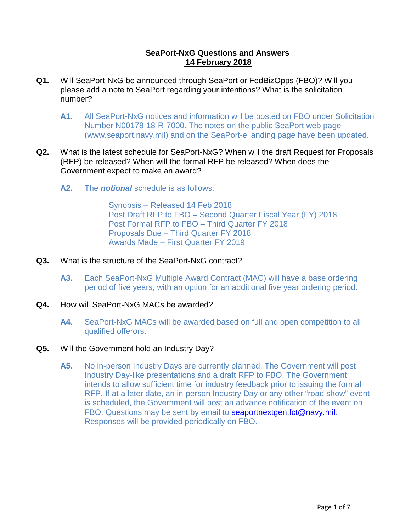## **SeaPort-NxG Questions and Answers 14 February 2018**

- **Q1.** Will SeaPort-NxG be announced through SeaPort or FedBizOpps (FBO)? Will you please add a note to SeaPort regarding your intentions? What is the solicitation number?
	- **A1.** All SeaPort-NxG notices and information will be posted on FBO under Solicitation Number N00178-18-R-7000. The notes on the public SeaPort web page (www.seaport.navy.mil) and on the SeaPort-e landing page have been updated.
- <span id="page-0-0"></span>**Q2.** What is the latest schedule for SeaPort-NxG? When will the draft Request for Proposals (RFP) be released? When will the formal RFP be released? When does the Government expect to make an award?
	- **A2.** The *notional* schedule is as follows:

Synopsis – Released 14 Feb 2018 Post Draft RFP to FBO – Second Quarter Fiscal Year (FY) 2018 Post Formal RFP to FBO – Third Quarter FY 2018 Proposals Due – Third Quarter FY 2018 Awards Made – First Quarter FY 2019

- **Q3.** What is the structure of the SeaPort-NxG contract?
	- **A3.** Each SeaPort-NxG Multiple Award Contract (MAC) will have a base ordering period of five years, with an option for an additional five year ordering period.
- **Q4.** How will SeaPort-NxG MACs be awarded?
	- **A4.** SeaPort-NxG MACs will be awarded based on full and open competition to all qualified offerors.

## **Q5.** Will the Government hold an Industry Day?

**A5.** No in-person Industry Days are currently planned. The Government will post Industry Day-like presentations and a draft RFP to FBO. The Government intends to allow sufficient time for industry feedback prior to issuing the formal RFP. If at a later date, an in-person Industry Day or any other "road show" event is scheduled, the Government will post an advance notification of the event on FBO. Questions may be sent by email to **seaportnextgen.fct@navy.mil.** Responses will be provided periodically on FBO.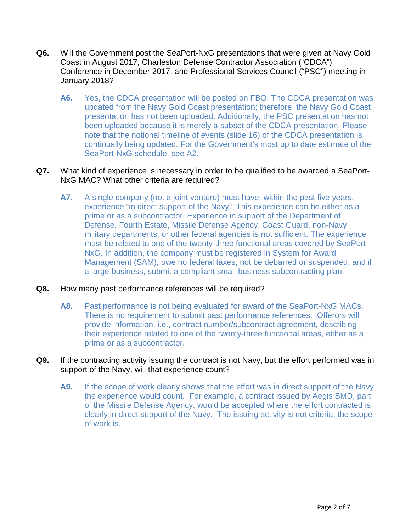- **Q6.** Will the Government post the SeaPort-NxG presentations that were given at Navy Gold Coast in August 2017, Charleston Defense Contractor Association ("CDCA") Conference in December 2017, and Professional Services Council ("PSC") meeting in January 2018?
	- **A6.** Yes, the CDCA presentation will be posted on FBO. The CDCA presentation was updated from the Navy Gold Coast presentation; therefore, the Navy Gold Coast presentation has not been uploaded. Additionally, the PSC presentation has not been uploaded because it is merely a subset of the CDCA presentation. Please note that the notional timeline of events (slide 16) of the CDCA presentation is continually being updated. For the Government's most up to date estimate of the SeaPort-NxG schedule, see [A2.](#page-0-0)

## **Q7.** What kind of experience is necessary in order to be qualified to be awarded a SeaPort-NxG MAC? What other criteria are required?

<span id="page-1-0"></span>**A7.** A single company (not a joint venture) must have, within the past five years, experience "in direct support of the Navy." This experience can be either as a prime or as a subcontractor. Experience in support of the Department of Defense, Fourth Estate, Missile Defense Agency, Coast Guard, non-Navy military departments, or other federal agencies is not sufficient. The experience must be related to one of the twenty-three functional areas covered by SeaPort-NxG. In addition, the company must be registered in System for Award Management (SAM), owe no federal taxes, not be debarred or suspended, and if a large business, submit a compliant small business subcontracting plan.

## **Q8.** How many past performance references will be required?

**A8.** Past performance is not being evaluated for award of the SeaPort-NxG MACs. There is no requirement to submit past performance references. Offerors will provide information, i.e., contract number/subcontract agreement, describing their experience related to one of the twenty-three functional areas, either as a prime or as a subcontractor.

#### **Q9.** If the contracting activity issuing the contract is not Navy, but the effort performed was in support of the Navy, will that experience count?

**A9.** If the scope of work clearly shows that the effort was in direct support of the Navy the experience would count. For example, a contract issued by Aegis BMD, part of the Missile Defense Agency, would be accepted where the effort contracted is clearly in direct support of the Navy. The issuing activity is not criteria, the scope of work is.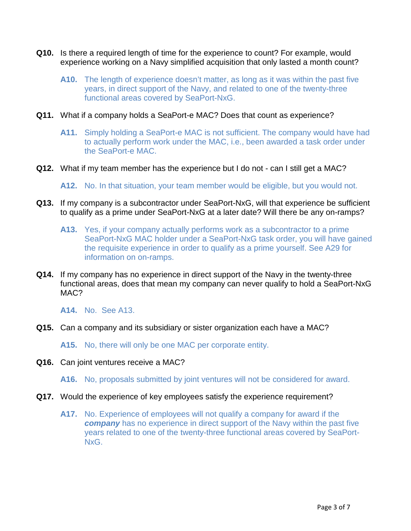- **Q10.** Is there a required length of time for the experience to count? For example, would experience working on a Navy simplified acquisition that only lasted a month count?
	- **A10.** The length of experience doesn't matter, as long as it was within the past five years, in direct support of the Navy, and related to one of the twenty-three functional areas covered by SeaPort-NxG.
- **Q11.** What if a company holds a SeaPort-e MAC? Does that count as experience?
	- **A11.** Simply holding a SeaPort-e MAC is not sufficient. The company would have had to actually perform work under the MAC, i.e., been awarded a task order under the SeaPort-e MAC.
- **Q12.** What if my team member has the experience but I do not can I still get a MAC?
	- **A12.** No. In that situation, your team member would be eligible, but you would not.
- <span id="page-2-0"></span>**Q13.** If my company is a subcontractor under SeaPort-NxG, will that experience be sufficient to qualify as a prime under SeaPort-NxG at a later date? Will there be any on-ramps?
	- **A13.** Yes, if your company actually performs work as a subcontractor to a prime SeaPort-NxG MAC holder under a SeaPort-NxG task order, you will have gained the requisite experience in order to qualify as a prime yourself. See [A29](#page-5-0) for information on on-ramps.
- **Q14.** If my company has no experience in direct support of the Navy in the twenty-three functional areas, does that mean my company can never qualify to hold a SeaPort-NxG MAC?

**A14.** No. See [A13.](#page-2-0)

**Q15.** Can a company and its subsidiary or sister organization each have a MAC?

**A15.** No, there will only be one MAC per corporate entity.

**Q16.** Can joint ventures receive a MAC?

**A16.** No, proposals submitted by joint ventures will not be considered for award.

- **Q17.** Would the experience of key employees satisfy the experience requirement?
	- **A17.** No. Experience of employees will not qualify a company for award if the *company* has no experience in direct support of the Navy within the past five years related to one of the twenty-three functional areas covered by SeaPort-NxG.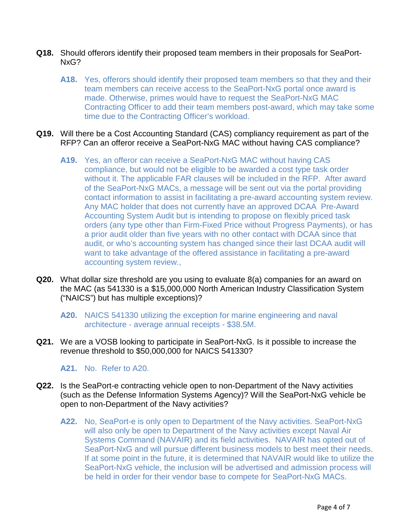- **Q18.** Should offerors identify their proposed team members in their proposals for SeaPort-NxG?
	- **A18.** Yes, offerors should identify their proposed team members so that they and their team members can receive access to the SeaPort-NxG portal once award is made. Otherwise, primes would have to request the SeaPort-NxG MAC Contracting Officer to add their team members post-award, which may take some time due to the Contracting Officer's workload.
- **Q19.** Will there be a Cost Accounting Standard (CAS) compliancy requirement as part of the RFP? Can an offeror receive a SeaPort-NxG MAC without having CAS compliance?
	- **A19.** Yes, an offeror can receive a SeaPort-NxG MAC without having CAS compliance, but would not be eligible to be awarded a cost type task order without it. The applicable FAR clauses will be included in the RFP. After award of the SeaPort-NxG MACs, a message will be sent out via the portal providing contact information to assist in facilitating a pre-award accounting system review. Any MAC holder that does not currently have an approved DCAA Pre-Award Accounting System Audit but is intending to propose on flexibly priced task orders (any type other than Firm-Fixed Price without Progress Payments), or has a prior audit older than five years with no other contact with DCAA since that audit, or who's accounting system has changed since their last DCAA audit will want to take advantage of the offered assistance in facilitating a pre-award accounting system review.,
- **Q20.** What dollar size threshold are you using to evaluate 8(a) companies for an award on the MAC (as 541330 is a \$15,000,000 North American Industry Classification System ("NAICS") but has multiple exceptions)?

#### <span id="page-3-0"></span>**A20.** NAICS 541330 utilizing the exception for marine engineering and naval architecture - average annual receipts - \$38.5M.

**Q21.** We are a VOSB looking to participate in SeaPort-NxG. Is it possible to increase the revenue threshold to \$50,000,000 for NAICS 541330?

**A21.** No. Refer to [A20.](#page-3-0)

- **Q22.** Is the SeaPort-e contracting vehicle open to non-Department of the Navy activities (such as the Defense Information Systems Agency)? Will the SeaPort-NxG vehicle be open to non-Department of the Navy activities?
	- **A22.** No, SeaPort-e is only open to Department of the Navy activities. SeaPort-NxG will also only be open to Department of the Navy activities except Naval Air Systems Command (NAVAIR) and its field activities. NAVAIR has opted out of SeaPort-NxG and will pursue different business models to best meet their needs. If at some point in the future, it is determined that NAVAIR would like to utilize the SeaPort-NxG vehicle, the inclusion will be advertised and admission process will be held in order for their vendor base to compete for SeaPort-NxG MACs.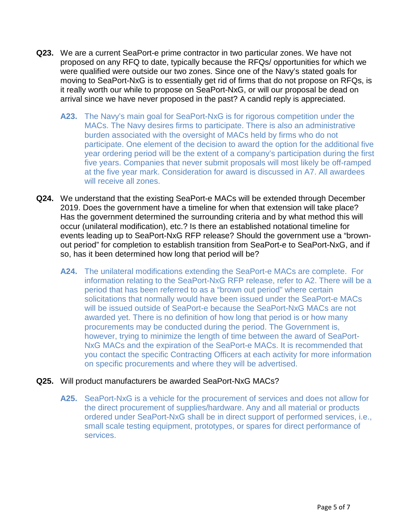- **Q23.** We are a current SeaPort-e prime contractor in two particular zones. We have not proposed on any RFQ to date, typically because the RFQs/ opportunities for which we were qualified were outside our two zones. Since one of the Navy's stated goals for moving to SeaPort-NxG is to essentially get rid of firms that do not propose on RFQs, is it really worth our while to propose on SeaPort-NxG, or will our proposal be dead on arrival since we have never proposed in the past? A candid reply is appreciated.
	- **A23.** The Navy's main goal for SeaPort-NxG is for rigorous competition under the MACs. The Navy desires firms to participate. There is also an administrative burden associated with the oversight of MACs held by firms who do not participate. One element of the decision to award the option for the additional five year ordering period will be the extent of a company's participation during the first five years. Companies that never submit proposals will most likely be off-ramped at the five year mark. Consideration for award is discussed in [A7.](#page-1-0) All awardees will receive all zones.
- **Q24.** We understand that the existing SeaPort-e MACs will be extended through December 2019. Does the government have a timeline for when that extension will take place? Has the government determined the surrounding criteria and by what method this will occur (unilateral modification), etc.? Is there an established notational timeline for events leading up to SeaPort-NxG RFP release? Should the government use a "brownout period" for completion to establish transition from SeaPort-e to SeaPort-NxG, and if so, has it been determined how long that period will be?
	- **A24.** The unilateral modifications extending the SeaPort-e MACs are complete. For information relating to the SeaPort-NxG RFP release, refer to [A2.](#page-0-0) There will be a period that has been referred to as a "brown out period" where certain solicitations that normally would have been issued under the SeaPort-e MACs will be issued outside of SeaPort-e because the SeaPort-NxG MACs are not awarded yet. There is no definition of how long that period is or how many procurements may be conducted during the period. The Government is, however, trying to minimize the length of time between the award of SeaPort-NxG MACs and the expiration of the SeaPort-e MACs. It is recommended that you contact the specific Contracting Officers at each activity for more information on specific procurements and where they will be advertised.

#### **Q25.** Will product manufacturers be awarded SeaPort-NxG MACs?

**A25.** SeaPort-NxG is a vehicle for the procurement of services and does not allow for the direct procurement of supplies/hardware. Any and all material or products ordered under SeaPort-NxG shall be in direct support of performed services, i.e., small scale testing equipment, prototypes, or spares for direct performance of services.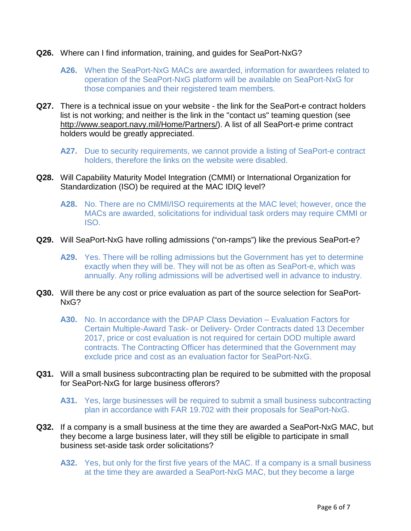- **Q26.** Where can I find information, training, and guides for SeaPort-NxG?
	- **A26.** When the SeaPort-NxG MACs are awarded, information for awardees related to operation of the SeaPort-NxG platform will be available on SeaPort-NxG for those companies and their registered team members.
- **Q27.** There is a technical issue on your website the link for the SeaPort-e contract holders list is not working; and neither is the link in the "contact us" teaming question (see [http://www.seaport.navy.mil/Home/Partners/\)](http://www.seaport.navy.mil/Home/Partners/). A list of all SeaPort-e prime contract holders would be greatly appreciated.
	- **A27.** Due to security requirements, we cannot provide a listing of SeaPort-e contract holders, therefore the links on the website were disabled.
- **Q28.** Will Capability Maturity Model Integration (CMMI) or International Organization for Standardization (ISO) be required at the MAC IDIQ level?
	- **A28.** No. There are no CMMI/ISO requirements at the MAC level; however, once the MACs are awarded, solicitations for individual task orders may require CMMI or ISO.
- <span id="page-5-0"></span>**Q29.** Will SeaPort-NxG have rolling admissions ("on-ramps") like the previous SeaPort-e?
	- **A29.** Yes. There will be rolling admissions but the Government has yet to determine exactly when they will be. They will not be as often as SeaPort-e, which was annually. Any rolling admissions will be advertised well in advance to industry.
- **Q30.** Will there be any cost or price evaluation as part of the source selection for SeaPort-NxG?
	- **A30.** No. In accordance with the DPAP Class Deviation Evaluation Factors for Certain Multiple-Award Task- or Delivery- Order Contracts dated 13 December 2017, price or cost evaluation is not required for certain DOD multiple award contracts. The Contracting Officer has determined that the Government may exclude price and cost as an evaluation factor for SeaPort-NxG.
- **Q31.** Will a small business subcontracting plan be required to be submitted with the proposal for SeaPort-NxG for large business offerors?

**A31.** Yes, large businesses will be required to submit a small business subcontracting plan in accordance with FAR 19.702 with their proposals for SeaPort-NxG.

- **Q32.** If a company is a small business at the time they are awarded a SeaPort-NxG MAC, but they become a large business later, will they still be eligible to participate in small business set-aside task order solicitations?
	- **A32.** Yes, but only for the first five years of the MAC. If a company is a small business at the time they are awarded a SeaPort-NxG MAC, but they become a large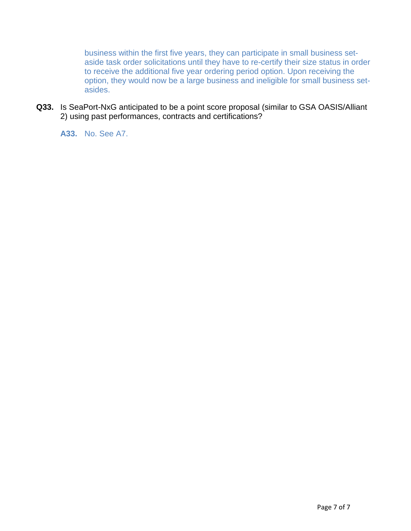business within the first five years, they can participate in small business setaside task order solicitations until they have to re-certify their size status in order to receive the additional five year ordering period option. Upon receiving the option, they would now be a large business and ineligible for small business setasides.

**Q33.** Is SeaPort-NxG anticipated to be a point score proposal (similar to GSA OASIS/Alliant 2) using past performances, contracts and certifications?

**A33.** No. See [A7.](#page-1-0)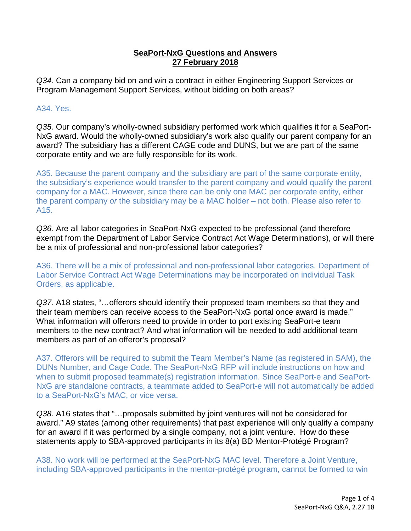## **SeaPort-NxG Questions and Answers 27 February 2018**

*Q34.* Can a company bid on and win a contract in either Engineering Support Services or Program Management Support Services, without bidding on both areas?

# A34. Yes.

*Q35.* Our company's wholly-owned subsidiary performed work which qualifies it for a SeaPort-NxG award. Would the wholly-owned subsidiary's work also qualify our parent company for an award? The subsidiary has a different CAGE code and DUNS, but we are part of the same corporate entity and we are fully responsible for its work.

A35. Because the parent company and the subsidiary are part of the same corporate entity, the subsidiary's experience would transfer to the parent company and would qualify the parent company for a MAC. However, since there can be only one MAC per corporate entity, either the parent company *or* the subsidiary may be a MAC holder – not both. Please also refer to A15.

*Q36.* Are all labor categories in SeaPort-NxG expected to be professional (and therefore exempt from the Department of Labor Service Contract Act Wage Determinations), or will there be a mix of professional and non-professional labor categories?

A36. There will be a mix of professional and non-professional labor categories. Department of Labor Service Contract Act Wage Determinations may be incorporated on individual Task Orders, as applicable.

*Q37.* A18 states, "…offerors should identify their proposed team members so that they and their team members can receive access to the SeaPort-NxG portal once award is made." What information will offerors need to provide in order to port existing SeaPort-e team members to the new contract? And what information will be needed to add additional team members as part of an offeror's proposal?

A37. Offerors will be required to submit the Team Member's Name (as registered in SAM), the DUNs Number, and Cage Code. The SeaPort-NxG RFP will include instructions on how and when to submit proposed teammate(s) registration information. Since SeaPort-e and SeaPort-NxG are standalone contracts, a teammate added to SeaPort-e will not automatically be added to a SeaPort-NxG's MAC, or vice versa.

*Q38.* A16 states that "…proposals submitted by joint ventures will not be considered for award." A9 states (among other requirements) that past experience will only qualify a company for an award if it was performed by a single company, not a joint venture. How do these statements apply to SBA-approved participants in its 8(a) BD Mentor-Protégé Program?

A38. No work will be performed at the SeaPort-NxG MAC level. Therefore a Joint Venture, including SBA-approved participants in the mentor-protégé program, cannot be formed to win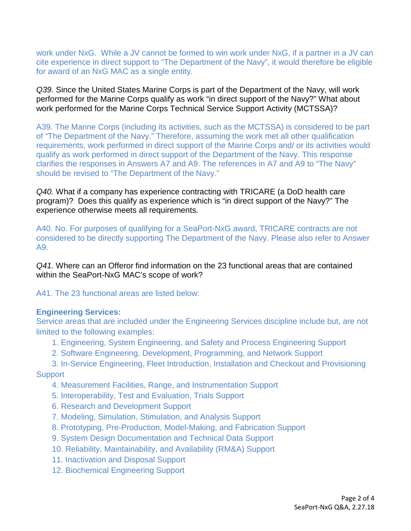work under NxG. While a JV cannot be formed to win work under NxG, if a partner in a JV can cite experience in direct support to "The Department of the Navy", it would therefore be eligible for award of an NxG MAC as a single entity.

*Q39.* Since the United States Marine Corps is part of the Department of the Navy, will work performed for the Marine Corps qualify as work "in direct support of the Navy?" What about work performed for the Marine Corps Technical Service Support Activity (MCTSSA)?

A39. The Marine Corps (including its activities, such as the MCTSSA) is considered to be part of "The Department of the Navy." Therefore, assuming the work met all other qualification requirements, work performed in direct support of the Marine Corps and/ or its activities would qualify as work performed in direct support of the Department of the Navy. This response clarifies the responses in Answers A7 and A9. The references in A7 and A9 to "The Navy" should be revised to "The Department of the Navy."

*Q40.* What if a company has experience contracting with TRICARE (a DoD health care program)? Does this qualify as experience which is "in direct support of the Navy?" The experience otherwise meets all requirements.

A40. No. For purposes of qualifying for a SeaPort-NxG award, TRICARE contracts are not considered to be directly supporting The Department of the Navy. Please also refer to Answer A9.

*Q41.* Where can an Offeror find information on the 23 functional areas that are contained within the SeaPort-NxG MAC's scope of work?

A41. The 23 functional areas are listed below:

# **Engineering Services:**

Service areas that are included under the Engineering Services discipline include but, are not limited to the following examples:

- 1. Engineering, System Engineering, and Safety and Process Engineering Support
- 2. Software Engineering, Development, Programming, and Network Support
- 3. In-Service Engineering, Fleet Introduction, Installation and Checkout and Provisioning **Support** 
	- 4. Measurement Facilities, Range, and Instrumentation Support
	- 5. Interoperability, Test and Evaluation, Trials Support
	- 6. Research and Development Support
	- 7. Modeling, Simulation, Stimulation, and Analysis Support
	- 8. Prototyping, Pre-Production, Model-Making, and Fabrication Support
	- 9. System Design Documentation and Technical Data Support
	- 10. Reliability, Maintainability, and Availability (RM&A) Support
	- 11. Inactivation and Disposal Support
	- 12. Biochemical Engineering Support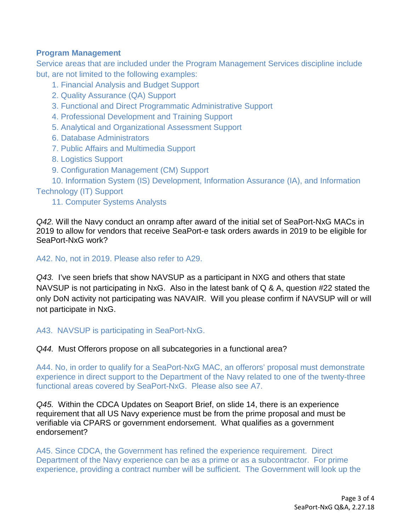# **Program Management**

Service areas that are included under the Program Management Services discipline include but, are not limited to the following examples:

- 1. Financial Analysis and Budget Support
- 2. Quality Assurance (QA) Support
- 3. Functional and Direct Programmatic Administrative Support
- 4. Professional Development and Training Support
- 5. Analytical and Organizational Assessment Support
- 6. Database Administrators
- 7. Public Affairs and Multimedia Support
- 8. Logistics Support
- 9. Configuration Management (CM) Support

 10. Information System (IS) Development, Information Assurance (IA), and Information Technology (IT) Support

11. Computer Systems Analysts

*Q42.* Will the Navy conduct an onramp after award of the initial set of SeaPort-NxG MACs in 2019 to allow for vendors that receive SeaPort-e task orders awards in 2019 to be eligible for SeaPort-NxG work?

A42. No, not in 2019. Please also refer to A29.

*Q43.* I've seen briefs that show NAVSUP as a participant in NXG and others that state NAVSUP is not participating in NxG. Also in the latest bank of Q & A, question #22 stated the only DoN activity not participating was NAVAIR. Will you please confirm if NAVSUP will or will not participate in NxG.

A43. NAVSUP is participating in SeaPort-NxG.

*Q44.* Must Offerors propose on all subcategories in a functional area?

A44. No, in order to qualify for a SeaPort-NxG MAC, an offerors' proposal must demonstrate experience in direct support to the Department of the Navy related to one of the twenty-three functional areas covered by SeaPort-NxG. Please also see A7.

*Q45.* Within the CDCA Updates on Seaport Brief, on slide 14, there is an experience requirement that all US Navy experience must be from the prime proposal and must be verifiable via CPARS or government endorsement. What qualifies as a government endorsement?

A45. Since CDCA, the Government has refined the experience requirement. Direct Department of the Navy experience can be as a prime or as a subcontractor. For prime experience, providing a contract number will be sufficient. The Government will look up the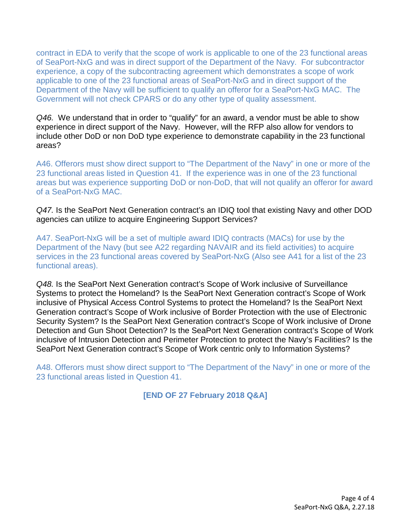contract in EDA to verify that the scope of work is applicable to one of the 23 functional areas of SeaPort-NxG and was in direct support of the Department of the Navy. For subcontractor experience, a copy of the subcontracting agreement which demonstrates a scope of work applicable to one of the 23 functional areas of SeaPort-NxG and in direct support of the Department of the Navy will be sufficient to qualify an offeror for a SeaPort-NxG MAC. The Government will not check CPARS or do any other type of quality assessment.

*Q46.* We understand that in order to "qualify" for an award, a vendor must be able to show experience in direct support of the Navy. However, will the RFP also allow for vendors to include other DoD or non DoD type experience to demonstrate capability in the 23 functional areas?

A46. Offerors must show direct support to "The Department of the Navy" in one or more of the 23 functional areas listed in Question 41. If the experience was in one of the 23 functional areas but was experience supporting DoD or non-DoD, that will not qualify an offeror for award of a SeaPort-NxG MAC.

*Q47.* Is the SeaPort Next Generation contract's an IDIQ tool that existing Navy and other DOD agencies can utilize to acquire Engineering Support Services?

A47. SeaPort-NxG will be a set of multiple award IDIQ contracts (MACs) for use by the Department of the Navy (but see A22 regarding NAVAIR and its field activities) to acquire services in the 23 functional areas covered by SeaPort-NxG (Also see A41 for a list of the 23 functional areas).

*Q48.* Is the SeaPort Next Generation contract's Scope of Work inclusive of Surveillance Systems to protect the Homeland? Is the SeaPort Next Generation contract's Scope of Work inclusive of Physical Access Control Systems to protect the Homeland? Is the SeaPort Next Generation contract's Scope of Work inclusive of Border Protection with the use of Electronic Security System? Is the SeaPort Next Generation contract's Scope of Work inclusive of Drone Detection and Gun Shoot Detection? Is the SeaPort Next Generation contract's Scope of Work inclusive of Intrusion Detection and Perimeter Protection to protect the Navy's Facilities? Is the SeaPort Next Generation contract's Scope of Work centric only to Information Systems?

A48. Offerors must show direct support to "The Department of the Navy" in one or more of the 23 functional areas listed in Question 41.

**[END OF 27 February 2018 Q&A]**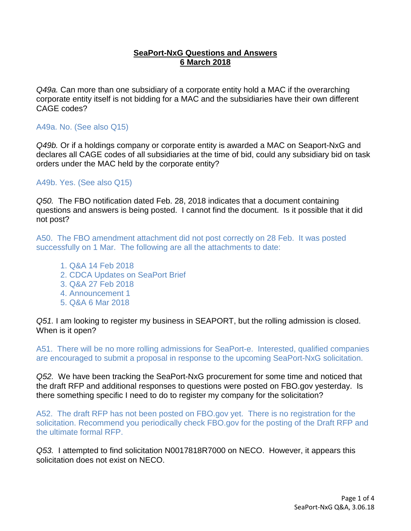## **SeaPort-NxG Questions and Answers 6 March 2018**

*Q49a.* Can more than one subsidiary of a corporate entity hold a MAC if the overarching corporate entity itself is not bidding for a MAC and the subsidiaries have their own different CAGE codes?

## A49a. No. (See also Q15)

*Q49b.* Or if a holdings company or corporate entity is awarded a MAC on Seaport-NxG and declares all CAGE codes of all subsidiaries at the time of bid, could any subsidiary bid on task orders under the MAC held by the corporate entity?

A49b. Yes. (See also Q15)

*Q50.* The FBO notification dated Feb. 28, 2018 indicates that a document containing questions and answers is being posted. I cannot find the document. Is it possible that it did not post?

A50. The FBO amendment attachment did not post correctly on 28 Feb. It was posted successfully on 1 Mar. The following are all the attachments to date:

- 1. Q&A 14 Feb 2018
- 2. CDCA Updates on SeaPort Brief
- 3. Q&A 27 Feb 2018
- 4. Announcement 1
- 5. Q&A 6 Mar 2018

*Q51.* I am looking to register my business in SEAPORT, but the rolling admission is closed. When is it open?

A51. There will be no more rolling admissions for SeaPort-e. Interested, qualified companies are encouraged to submit a proposal in response to the upcoming SeaPort-NxG solicitation.

*Q52.* We have been tracking the SeaPort-NxG procurement for some time and noticed that the draft RFP and additional responses to questions were posted on FBO.gov yesterday. Is there something specific I need to do to register my company for the solicitation?

A52. The draft RFP has not been posted on FBO.gov yet. There is no registration for the solicitation. Recommend you periodically check FBO.gov for the posting of the Draft RFP and the ultimate formal RFP.

*Q53.* I attempted to find solicitation N0017818R7000 on NECO. However, it appears this solicitation does not exist on NECO.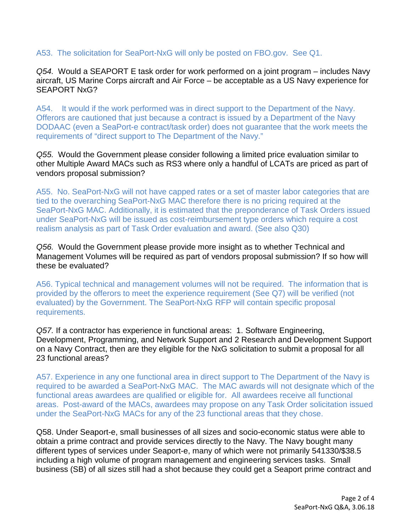# A53. The solicitation for SeaPort-NxG will only be posted on FBO.gov. See Q1.

*Q54.* Would a SEAPORT E task order for work performed on a joint program – includes Navy aircraft, US Marine Corps aircraft and Air Force – be acceptable as a US Navy experience for SEAPORT NxG?

A54. It would if the work performed was in direct support to the Department of the Navy. Offerors are cautioned that just because a contract is issued by a Department of the Navy DODAAC (even a SeaPort-e contract/task order) does not guarantee that the work meets the requirements of "direct support to The Department of the Navy."

*Q55.* Would the Government please consider following a limited price evaluation similar to other Multiple Award MACs such as RS3 where only a handful of LCATs are priced as part of vendors proposal submission?

A55. No. SeaPort-NxG will not have capped rates or a set of master labor categories that are tied to the overarching SeaPort-NxG MAC therefore there is no pricing required at the SeaPort-NxG MAC. Additionally, it is estimated that the preponderance of Task Orders issued under SeaPort-NxG will be issued as cost-reimbursement type orders which require a cost realism analysis as part of Task Order evaluation and award. (See also Q30)

*Q56.* Would the Government please provide more insight as to whether Technical and Management Volumes will be required as part of vendors proposal submission? If so how will these be evaluated?

A56. Typical technical and management volumes will not be required. The information that is provided by the offerors to meet the experience requirement (See Q7) will be verified (not evaluated) by the Government. The SeaPort-NxG RFP will contain specific proposal requirements.

*Q57.* If a contractor has experience in functional areas: 1. Software Engineering, Development, Programming, and Network Support and 2 Research and Development Support on a Navy Contract, then are they eligible for the NxG solicitation to submit a proposal for all 23 functional areas?

A57. Experience in any one functional area in direct support to The Department of the Navy is required to be awarded a SeaPort-NxG MAC. The MAC awards will not designate which of the functional areas awardees are qualified or eligible for. All awardees receive all functional areas. Post-award of the MACs, awardees may propose on any Task Order solicitation issued under the SeaPort-NxG MACs for any of the 23 functional areas that they chose.

Q58. Under Seaport-e, small businesses of all sizes and socio-economic status were able to obtain a prime contract and provide services directly to the Navy. The Navy bought many different types of services under Seaport-e, many of which were not primarily 541330/\$38.5 including a high volume of program management and engineering services tasks. Small business (SB) of all sizes still had a shot because they could get a Seaport prime contract and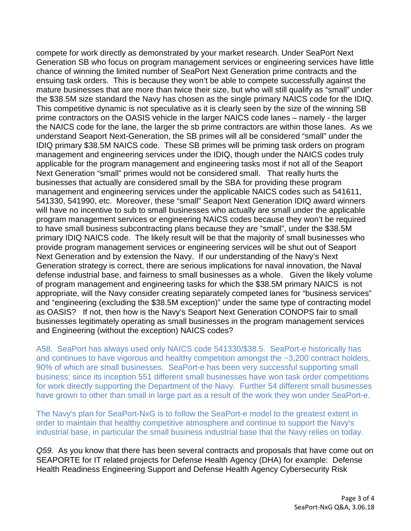compete for work directly as demonstrated by your market research. Under SeaPort Next Generation SB who focus on program management services or engineering services have little chance of winning the limited number of SeaPort Next Generation prime contracts and the ensuing task orders. This is because they won't be able to compete successfully against the mature businesses that are more than twice their size, but who will still qualify as "small" under the \$38.5M size standard the Navy has chosen as the single primary NAICS code for the IDIQ. This competitive dynamic is not speculative as it is clearly seen by the size of the winning SB prime contractors on the OASIS vehicle in the larger NAICS code lanes – namely - the larger the NAICS code for the lane, the larger the sb prime contractors are within those lanes. As we understand Seaport Next-Generation, the SB primes will all be considered "small" under the IDIQ primary \$38.5M NAICS code. These SB primes will be priming task orders on program management and engineering services under the IDIQ, though under the NAICS codes truly applicable for the program management and engineering tasks most if not all of the Seaport Next Generation "small" primes would not be considered small. That really hurts the businesses that actually are considered small by the SBA for providing these program management and engineering services under the applicable NAICS codes such as 541611, 541330, 541990, etc. Moreover, these "small" Seaport Next Generation IDIQ award winners will have no incentive to sub to small businesses who actually are small under the applicable program management services or engineering NAICS codes because they won't be required to have small business subcontracting plans because they are "small", under the \$38.5M primary IDIQ NAICS code. The likely result will be that the majority of small businesses who provide program management services or engineering services will be shut out of Seaport Next Generation and by extension the Navy. If our understanding of the Navy's Next Generation strategy is correct, there are serious implications for naval innovation, the Naval defense industrial base, and fairness to small businesses as a whole. Given the likely volume of program management and engineering tasks for which the \$38.5M primary NAICS is not appropriate, will the Navy consider creating separately competed lanes for "business services" and "engineering (excluding the \$38.5M exception)" under the same type of contracting model as OASIS? If not, then how is the Navy's Seaport Next Generation CONOPS fair to small businesses legitimately operating as small businesses in the program management services and Engineering (without the exception) NAICS codes?

A58. SeaPort has always used only NAICS code 541330/\$38.5. SeaPort-e historically has and continues to have vigorous and healthy competition amongst the ~3,200 contract holders, 90% of which are small businesses. SeaPort-e has been very successful supporting small business; since its inception 551 different small businesses have won task order competitions for work directly supporting the Department of the Navy. Further 54 different small businesses have grown to other than small in large part as a result of the work they won under SeaPort-e.

The Navy's plan for SeaPort-NxG is to follow the SeaPort-e model to the greatest extent in order to maintain that healthy competitive atmosphere and continue to support the Navy's industrial base, in particular the small business industrial base that the Navy relies on today.

*Q59.* As you know that there has been several contracts and proposals that have come out on SEAPORTE for IT related projects for Defense Health Agency (DHA) for example: Defense Health Readiness Engineering Support and Defense Health Agency Cybersecurity Risk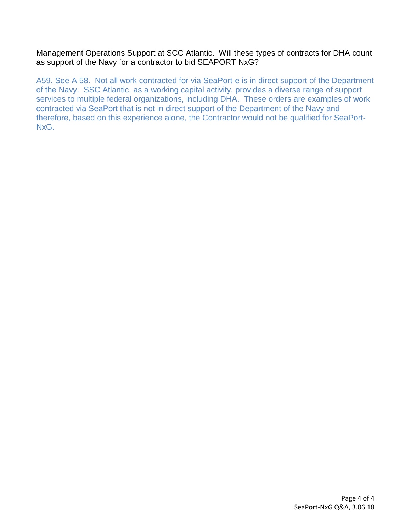## Management Operations Support at SCC Atlantic. Will these types of contracts for DHA count as support of the Navy for a contractor to bid SEAPORT NxG?

A59. See A 58. Not all work contracted for via SeaPort-e is in direct support of the Department of the Navy. SSC Atlantic, as a working capital activity, provides a diverse range of support services to multiple federal organizations, including DHA. These orders are examples of work contracted via SeaPort that is not in direct support of the Department of the Navy and therefore, based on this experience alone, the Contractor would not be qualified for SeaPort-NxG.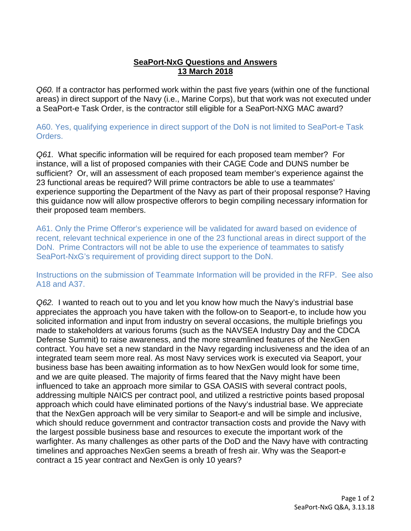# **SeaPort-NxG Questions and Answers 13 March 2018**

*Q60.* If a contractor has performed work within the past five years (within one of the functional areas) in direct support of the Navy (i.e., Marine Corps), but that work was not executed under a SeaPort-e Task Order, is the contractor still eligible for a SeaPort-NXG MAC award?

A60. Yes, qualifying experience in direct support of the DoN is not limited to SeaPort-e Task Orders.

*Q61.* What specific information will be required for each proposed team member? For instance, will a list of proposed companies with their CAGE Code and DUNS number be sufficient? Or, will an assessment of each proposed team member's experience against the 23 functional areas be required? Will prime contractors be able to use a teammates' experience supporting the Department of the Navy as part of their proposal response? Having this guidance now will allow prospective offerors to begin compiling necessary information for their proposed team members.

A61. Only the Prime Offeror's experience will be validated for award based on evidence of recent, relevant technical experience in one of the 23 functional areas in direct support of the DoN. Prime Contractors will not be able to use the experience of teammates to satisfy SeaPort-NxG's requirement of providing direct support to the DoN.

Instructions on the submission of Teammate Information will be provided in the RFP. See also A18 and A37.

*Q62.* I wanted to reach out to you and let you know how much the Navy's industrial base appreciates the approach you have taken with the follow-on to Seaport-e, to include how you solicited information and input from industry on several occasions, the multiple briefings you made to stakeholders at various forums (such as the NAVSEA Industry Day and the CDCA Defense Summit) to raise awareness, and the more streamlined features of the NexGen contract. You have set a new standard in the Navy regarding inclusiveness and the idea of an integrated team seem more real. As most Navy services work is executed via Seaport, your business base has been awaiting information as to how NexGen would look for some time, and we are quite pleased. The majority of firms feared that the Navy might have been influenced to take an approach more similar to GSA OASIS with several contract pools, addressing multiple NAICS per contract pool, and utilized a restrictive points based proposal approach which could have eliminated portions of the Navy's industrial base. We appreciate that the NexGen approach will be very similar to Seaport-e and will be simple and inclusive, which should reduce government and contractor transaction costs and provide the Navy with the largest possible business base and resources to execute the important work of the warfighter. As many challenges as other parts of the DoD and the Navy have with contracting timelines and approaches NexGen seems a breath of fresh air. Why was the Seaport-e contract a 15 year contract and NexGen is only 10 years?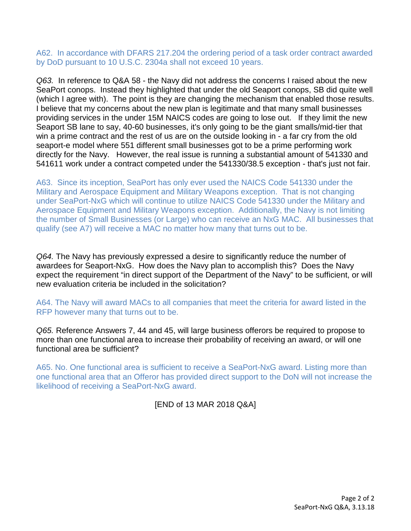A62. In accordance with DFARS 217.204 the ordering period of a task order contract awarded by DoD pursuant to 10 U.S.C. 2304a shall not exceed 10 years.

*Q63.* In reference to Q&A 58 - the Navy did not address the concerns I raised about the new SeaPort conops. Instead they highlighted that under the old Seaport conops, SB did quite well (which I agree with). The point is they are changing the mechanism that enabled those results. I believe that my concerns about the new plan is legitimate and that many small businesses providing services in the under 15M NAICS codes are going to lose out. If they limit the new Seaport SB lane to say, 40-60 businesses, it's only going to be the giant smalls/mid-tier that win a prime contract and the rest of us are on the outside looking in - a far cry from the old seaport-e model where 551 different small businesses got to be a prime performing work directly for the Navy. However, the real issue is running a substantial amount of 541330 and 541611 work under a contract competed under the 541330/38.5 exception - that's just not fair.

A63. Since its inception, SeaPort has only ever used the NAICS Code 541330 under the Military and Aerospace Equipment and Military Weapons exception. That is not changing under SeaPort-NxG which will continue to utilize NAICS Code 541330 under the Military and Aerospace Equipment and Military Weapons exception. Additionally, the Navy is not limiting the number of Small Businesses (or Large) who can receive an NxG MAC. All businesses that qualify (see A7) will receive a MAC no matter how many that turns out to be.

*Q64.* The Navy has previously expressed a desire to significantly reduce the number of awardees for Seaport-NxG. How does the Navy plan to accomplish this? Does the Navy expect the requirement "in direct support of the Department of the Navy" to be sufficient, or will new evaluation criteria be included in the solicitation?

A64. The Navy will award MACs to all companies that meet the criteria for award listed in the RFP however many that turns out to be.

*Q65.* Reference Answers 7, 44 and 45, will large business offerors be required to propose to more than one functional area to increase their probability of receiving an award, or will one functional area be sufficient?

A65. No. One functional area is sufficient to receive a SeaPort-NxG award. Listing more than one functional area that an Offeror has provided direct support to the DoN will not increase the likelihood of receiving a SeaPort-NxG award.

[END of 13 MAR 2018 Q&A]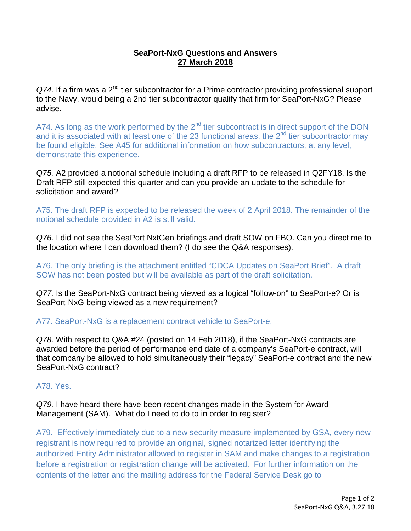# **SeaPort-NxG Questions and Answers 27 March 2018**

*Q74.* If a firm was a 2nd tier subcontractor for a Prime contractor providing professional support to the Navy, would being a 2nd tier subcontractor qualify that firm for SeaPort-NxG? Please advise.

A74. As long as the work performed by the  $2<sup>nd</sup>$  tier subcontract is in direct support of the DON and it is associated with at least one of the 23 functional areas, the 2<sup>nd</sup> tier subcontractor may be found eligible. See A45 for additional information on how subcontractors, at any level, demonstrate this experience.

*Q75.* A2 provided a notional schedule including a draft RFP to be released in Q2FY18. Is the Draft RFP still expected this quarter and can you provide an update to the schedule for solicitation and award?

A75. The draft RFP is expected to be released the week of 2 April 2018. The remainder of the notional schedule provided in A2 is still valid.

*Q76.* I did not see the SeaPort NxtGen briefings and draft SOW on FBO. Can you direct me to the location where I can download them? (I do see the Q&A responses).

A76. The only briefing is the attachment entitled "CDCA Updates on SeaPort Brief". A draft SOW has not been posted but will be available as part of the draft solicitation.

*Q77.* Is the SeaPort-NxG contract being viewed as a logical "follow-on" to SeaPort-e? Or is SeaPort-NxG being viewed as a new requirement?

A77. SeaPort-NxG is a replacement contract vehicle to SeaPort-e.

*Q78.* With respect to Q&A #24 (posted on 14 Feb 2018), if the SeaPort-NxG contracts are awarded before the period of performance end date of a company's SeaPort-e contract, will that company be allowed to hold simultaneously their "legacy" SeaPort-e contract and the new SeaPort-NxG contract?

# A78. Yes.

*Q79.* I have heard there have been recent changes made in the System for Award Management (SAM). What do I need to do to in order to register?

A79. Effectively immediately due to a new security measure implemented by GSA, every new registrant is now required to provide an original, signed notarized letter identifying the authorized Entity Administrator allowed to register in SAM and make changes to a registration before a registration or registration change will be activated. For further information on the contents of the letter and the mailing address for the Federal Service Desk go to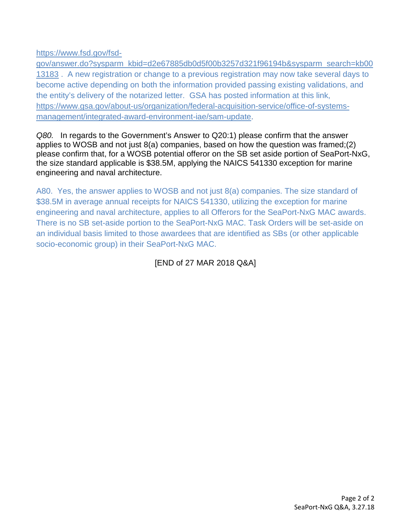[https://www.fsd.gov/fsd-](https://www.fsd.gov/fsd-gov/answer.do?sysparm_kbid=d2e67885db0d5f00b3257d321f96194b&sysparm_search=kb0013183)

[gov/answer.do?sysparm\\_kbid=d2e67885db0d5f00b3257d321f96194b&sysparm\\_search=kb00](https://www.fsd.gov/fsd-gov/answer.do?sysparm_kbid=d2e67885db0d5f00b3257d321f96194b&sysparm_search=kb0013183) [13183](https://www.fsd.gov/fsd-gov/answer.do?sysparm_kbid=d2e67885db0d5f00b3257d321f96194b&sysparm_search=kb0013183) . A new registration or change to a previous registration may now take several days to become active depending on both the information provided passing existing validations, and the entity's delivery of the notarized letter. GSA has posted information at this link, [https://www.gsa.gov/about-us/organization/federal-acquisition-service/office-of-systems](https://www.gsa.gov/about-us/organization/federal-acquisition-service/office-of-systems-management/integrated-award-environment-iae/sam-update)[management/integrated-award-environment-iae/sam-update.](https://www.gsa.gov/about-us/organization/federal-acquisition-service/office-of-systems-management/integrated-award-environment-iae/sam-update)

*Q80.* In regards to the Government's Answer to Q20:1) please confirm that the answer applies to WOSB and not just 8(a) companies, based on how the question was framed;(2) please confirm that, for a WOSB potential offeror on the SB set aside portion of SeaPort-NxG, the size standard applicable is \$38.5M, applying the NAICS 541330 exception for marine engineering and naval architecture.

A80. Yes, the answer applies to WOSB and not just 8(a) companies. The size standard of \$38.5M in average annual receipts for NAICS 541330, utilizing the exception for marine engineering and naval architecture, applies to all Offerors for the SeaPort-NxG MAC awards. There is no SB set-aside portion to the SeaPort-NxG MAC. Task Orders will be set-aside on an individual basis limited to those awardees that are identified as SBs (or other applicable socio-economic group) in their SeaPort-NxG MAC.

# [END of 27 MAR 2018 Q&A]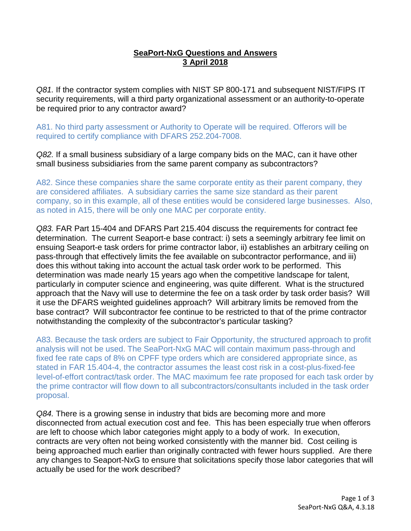# **SeaPort-NxG Questions and Answers 3 April 2018**

*Q81.* If the contractor system complies with NIST SP 800-171 and subsequent NIST/FIPS IT security requirements, will a third party organizational assessment or an authority-to-operate be required prior to any contractor award?

A81. No third party assessment or Authority to Operate will be required. Offerors will be required to certify compliance with DFARS 252.204-7008.

*Q82.* If a small business subsidiary of a large company bids on the MAC, can it have other small business subsidiaries from the same parent company as subcontractors?

A82. Since these companies share the same corporate entity as their parent company, they are considered affiliates. A subsidiary carries the same size standard as their parent company, so in this example, all of these entities would be considered large businesses. Also, as noted in A15, there will be only one MAC per corporate entity.

*Q83.* FAR Part 15-404 and DFARS Part 215.404 discuss the requirements for contract fee determination. The current Seaport-e base contract: i) sets a seemingly arbitrary fee limit on ensuing Seaport-e task orders for prime contractor labor, ii) establishes an arbitrary ceiling on pass-through that effectively limits the fee available on subcontractor performance, and iii) does this without taking into account the actual task order work to be performed. This determination was made nearly 15 years ago when the competitive landscape for talent, particularly in computer science and engineering, was quite different. What is the structured approach that the Navy will use to determine the fee on a task order by task order basis? Will it use the DFARS weighted guidelines approach? Will arbitrary limits be removed from the base contract? Will subcontractor fee continue to be restricted to that of the prime contractor notwithstanding the complexity of the subcontractor's particular tasking?

A83. Because the task orders are subject to Fair Opportunity, the structured approach to profit analysis will not be used. The SeaPort-NxG MAC will contain maximum pass-through and fixed fee rate caps of 8% on CPFF type orders which are considered appropriate since, as stated in FAR 15.404-4, the contractor assumes the least cost risk in a cost-plus-fixed-fee level-of-effort contract/task order. The MAC maximum fee rate proposed for each task order by the prime contractor will flow down to all subcontractors/consultants included in the task order proposal.

*Q84.* There is a growing sense in industry that bids are becoming more and more disconnected from actual execution cost and fee. This has been especially true when offerors are left to choose which labor categories might apply to a body of work. In execution, contracts are very often not being worked consistently with the manner bid. Cost ceiling is being approached much earlier than originally contracted with fewer hours supplied. Are there any changes to Seaport-NxG to ensure that solicitations specify those labor categories that will actually be used for the work described?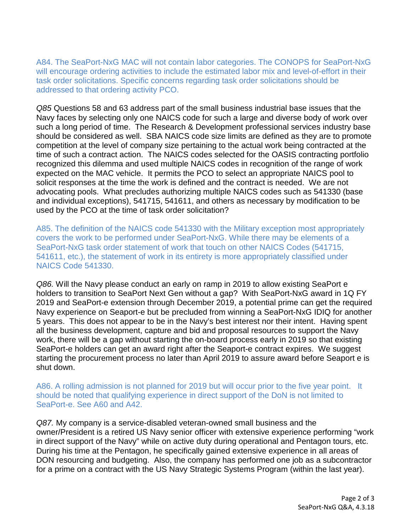A84. The SeaPort-NxG MAC will not contain labor categories. The CONOPS for SeaPort-NxG will encourage ordering activities to include the estimated labor mix and level-of-effort in their task order solicitations. Specific concerns regarding task order solicitations should be addressed to that ordering activity PCO.

*Q85* Questions 58 and 63 address part of the small business industrial base issues that the Navy faces by selecting only one NAICS code for such a large and diverse body of work over such a long period of time. The Research & Development professional services industry base should be considered as well. SBA NAICS code size limits are defined as they are to promote competition at the level of company size pertaining to the actual work being contracted at the time of such a contract action. The NAICS codes selected for the OASIS contracting portfolio recognized this dilemma and used multiple NAICS codes in recognition of the range of work expected on the MAC vehicle. It permits the PCO to select an appropriate NAICS pool to solicit responses at the time the work is defined and the contract is needed. We are not advocating pools. What precludes authorizing multiple NAICS codes such as 541330 (base and individual exceptions), 541715, 541611, and others as necessary by modification to be used by the PCO at the time of task order solicitation?

A85. The definition of the NAICS code 541330 with the Military exception most appropriately covers the work to be performed under SeaPort-NxG. While there may be elements of a SeaPort-NxG task order statement of work that touch on other NAICS Codes (541715, 541611, etc.), the statement of work in its entirety is more appropriately classified under NAICS Code 541330.

*Q86.* Will the Navy please conduct an early on ramp in 2019 to allow existing SeaPort e holders to transition to SeaPort Next Gen without a gap? With SeaPort-NxG award in 1Q FY 2019 and SeaPort-e extension through December 2019, a potential prime can get the required Navy experience on Seaport-e but be precluded from winning a SeaPort-NxG IDIQ for another 5 years. This does not appear to be in the Navy's best interest nor their intent. Having spent all the business development, capture and bid and proposal resources to support the Navy work, there will be a gap without starting the on-board process early in 2019 so that existing SeaPort-e holders can get an award right after the Seaport-e contract expires. We suggest starting the procurement process no later than April 2019 to assure award before Seaport e is shut down.

A86. A rolling admission is not planned for 2019 but will occur prior to the five year point. It should be noted that qualifying experience in direct support of the DoN is not limited to SeaPort-e. See A60 and A42.

*Q87.* My company is a service-disabled veteran-owned small business and the owner/President is a retired US Navy senior officer with extensive experience performing "work in direct support of the Navy" while on active duty during operational and Pentagon tours, etc. During his time at the Pentagon, he specifically gained extensive experience in all areas of DON resourcing and budgeting. Also, the company has performed one job as a subcontractor for a prime on a contract with the US Navy Strategic Systems Program (within the last year).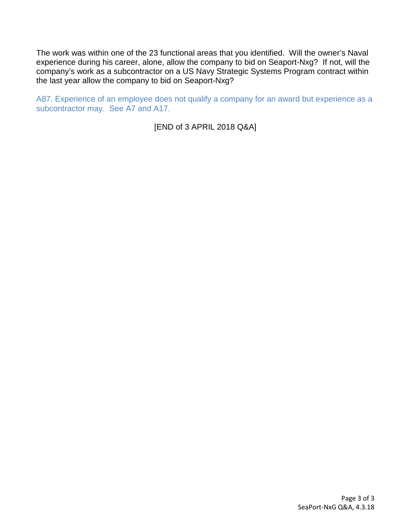The work was within one of the 23 functional areas that you identified. Will the owner's Naval experience during his career, alone, allow the company to bid on Seaport-Nxg? If not, will the company's work as a subcontractor on a US Navy Strategic Systems Program contract within the last year allow the company to bid on Seaport-Nxg?

A87. Experience of an employee does not qualify a company for an award but experience as a subcontractor may. See A7 and A17.

[END of 3 APRIL 2018 Q&A]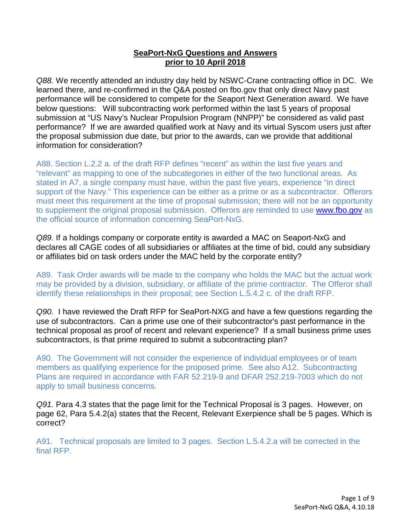## **SeaPort-NxG Questions and Answers prior to 10 April 2018**

*Q88.* We recently attended an industry day held by NSWC-Crane contracting office in DC. We learned there, and re-confirmed in the Q&A posted on fbo.gov that only direct Navy past performance will be considered to compete for the Seaport Next Generation award. We have below questions: Will subcontracting work performed within the last 5 years of proposal submission at "US Navy's Nuclear Propulsion Program (NNPP)" be considered as valid past performance? If we are awarded qualified work at Navy and its virtual Syscom users just after the proposal submission due date, but prior to the awards, can we provide that additional information for consideration?

A88. Section L.2.2 a. of the draft RFP defines "recent" as within the last five years and "relevant" as mapping to one of the subcategories in either of the two functional areas. As stated in A7, a single company must have, within the past five years, experience "in direct support of the Navy." This experience can be either as a prime or as a subcontractor. Offerors must meet this requirement at the time of proposal submission; there will not be an opportunity to supplement the original proposal submission. Offerors are reminded to use [www.fbo.gov](http://www.fbo.gov/) as the official source of information concerning SeaPort-NxG.

*Q89.* If a holdings company or corporate entity is awarded a MAC on Seaport-NxG and declares all CAGE codes of all subsidiaries or affiliates at the time of bid, could any subsidiary or affiliates bid on task orders under the MAC held by the corporate entity?

A89. Task Order awards will be made to the company who holds the MAC but the actual work may be provided by a division, subsidiary, or affiliate of the prime contractor. The Offeror shall identify these relationships in their proposal; see Section L.5.4.2 c. of the draft RFP.

*Q90.* I have reviewed the Draft RFP for SeaPort-NXG and have a few questions regarding the use of subcontractors. Can a prime use one of their subcontractor's past performance in the technical proposal as proof of recent and relevant experience? If a small business prime uses subcontractors, is that prime required to submit a subcontracting plan?

A90. The Government will not consider the experience of individual employees or of team members as qualifying experience for the proposed prime. See also A12. Subcontracting Plans are required in accordance with FAR 52.219-9 and DFAR 252.219-7003 which do not apply to small business concerns.

*Q91.* Para 4.3 states that the page limit for the Technical Proposal is 3 pages. However, on page 62, Para 5.4.2(a) states that the Recent, Relevant Exerpience shall be 5 pages. Which is correct?

A91. Technical proposals are limited to 3 pages. Section L.5.4.2.a will be corrected in the final RFP.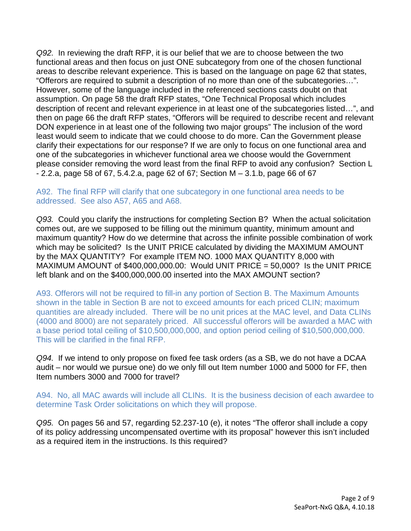*Q92.* In reviewing the draft RFP, it is our belief that we are to choose between the two functional areas and then focus on just ONE subcategory from one of the chosen functional areas to describe relevant experience. This is based on the language on page 62 that states, "Offerors are required to submit a description of no more than one of the subcategories…". However, some of the language included in the referenced sections casts doubt on that assumption. On page 58 the draft RFP states, "One Technical Proposal which includes description of recent and relevant experience in at least one of the subcategories listed…", and then on page 66 the draft RFP states, "Offerors will be required to describe recent and relevant DON experience in at least one of the following two major groups" The inclusion of the word least would seem to indicate that we could choose to do more. Can the Government please clarify their expectations for our response? If we are only to focus on one functional area and one of the subcategories in whichever functional area we choose would the Government please consider removing the word least from the final RFP to avoid any confusion? Section L - 2.2.a, page 58 of 67, 5.4.2.a, page 62 of 67; Section M – 3.1.b, page 66 of 67

#### A92. The final RFP will clarify that one subcategory in one functional area needs to be addressed. See also A57, A65 and A68.

*Q93.* Could you clarify the instructions for completing Section B? When the actual solicitation comes out, are we supposed to be filling out the minimum quantity, minimum amount and maximum quantity? How do we determine that across the infinite possible combination of work which may be solicited? Is the UNIT PRICE calculated by dividing the MAXIMUM AMOUNT by the MAX QUANTITY? For example ITEM NO. 1000 MAX QUANTITY 8,000 with MAXIMUM AMOUNT of  $$400,000,000.00$ : Would UNIT PRICE = 50,000? Is the UNIT PRICE left blank and on the \$400,000,000.00 inserted into the MAX AMOUNT section?

A93. Offerors will not be required to fill-in any portion of Section B. The Maximum Amounts shown in the table in Section B are not to exceed amounts for each priced CLIN; maximum quantities are already included. There will be no unit prices at the MAC level, and Data CLINs (4000 and 8000) are not separately priced. All successful offerors will be awarded a MAC with a base period total ceiling of \$10,500,000,000, and option period ceiling of \$10,500,000,000. This will be clarified in the final RFP.

*Q94.* If we intend to only propose on fixed fee task orders (as a SB, we do not have a DCAA audit – nor would we pursue one) do we only fill out Item number 1000 and 5000 for FF, then Item numbers 3000 and 7000 for travel?

A94. No, all MAC awards will include all CLINs. It is the business decision of each awardee to determine Task Order solicitations on which they will propose.

*Q95.* On pages 56 and 57, regarding 52.237-10 (e), it notes "The offeror shall include a copy of its policy addressing uncompensated overtime with its proposal" however this isn't included as a required item in the instructions. Is this required?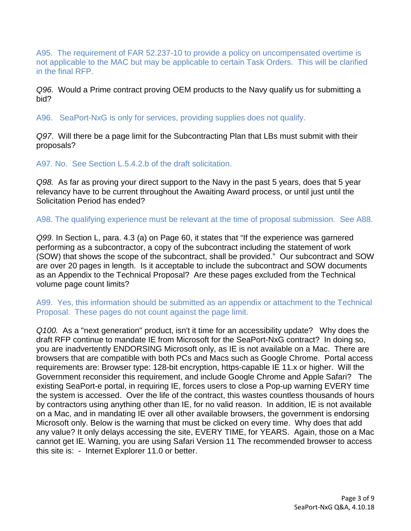A95. The requirement of FAR 52.237-10 to provide a policy on uncompensated overtime is not applicable to the MAC but may be applicable to certain Task Orders. This will be clarified in the final RFP.

*Q96.* Would a Prime contract proving OEM products to the Navy qualify us for submitting a bid?

A96. SeaPort-NxG is only for services, providing supplies does not qualify.

*Q97*. Will there be a page limit for the Subcontracting Plan that LBs must submit with their proposals?

A97. No. See Section L.5.4.2.b of the draft solicitation.

*Q98.* As far as proving your direct support to the Navy in the past 5 years, does that 5 year relevancy have to be current throughout the Awaiting Award process, or until just until the Solicitation Period has ended?

A98. The qualifying experience must be relevant at the time of proposal submission. See A88.

*Q99.* In Section L, para. 4.3 (a) on Page 60, it states that "If the experience was garnered performing as a subcontractor, a copy of the subcontract including the statement of work (SOW) that shows the scope of the subcontract, shall be provided." Our subcontract and SOW are over 20 pages in length. Is it acceptable to include the subcontract and SOW documents as an Appendix to the Technical Proposal? Are these pages excluded from the Technical volume page count limits?

A99. Yes, this information should be submitted as an appendix or attachment to the Technical Proposal. These pages do not count against the page limit.

*Q100.* As a "next generation" product, isn't it time for an accessibility update? Why does the draft RFP continue to mandate IE from Microsoft for the SeaPort-NxG contract? In doing so, you are inadvertently ENDORSING Microsoft only, as IE is not available on a Mac. There are browsers that are compatible with both PCs and Macs such as Google Chrome. Portal access requirements are: Browser type: 128-bit encryption, https-capable IE 11.x or higher. Will the Government reconsider this requirement, and include Google Chrome and Apple Safari? The existing SeaPort-e portal, in requiring IE, forces users to close a Pop-up warning EVERY time the system is accessed. Over the life of the contract, this wastes countless thousands of hours by contractors using anything other than IE, for no valid reason. In addition, IE is not available on a Mac, and in mandating IE over all other available browsers, the government is endorsing Microsoft only. Below is the warning that must be clicked on every time. Why does that add any value? It only delays accessing the site, EVERY TIME, for YEARS. Again, those on a Mac cannot get IE. Warning, you are using Safari Version 11 The recommended browser to access this site is: - Internet Explorer 11.0 or better.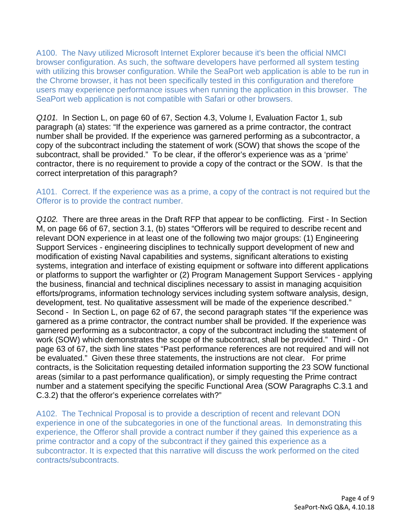A100. The Navy utilized Microsoft Internet Explorer because it's been the official NMCI browser configuration. As such, the software developers have performed all system testing with utilizing this browser configuration. While the SeaPort web application is able to be run in the Chrome browser, it has not been specifically tested in this configuration and therefore users may experience performance issues when running the application in this browser. The SeaPort web application is not compatible with Safari or other browsers.

*Q101.* In Section L, on page 60 of 67, Section 4.3, Volume I, Evaluation Factor 1, sub paragraph (a) states: "If the experience was garnered as a prime contractor, the contract number shall be provided. If the experience was garnered performing as a subcontractor, a copy of the subcontract including the statement of work (SOW) that shows the scope of the subcontract, shall be provided." To be clear, if the offeror's experience was as a 'prime' contractor, there is no requirement to provide a copy of the contract or the SOW. Is that the correct interpretation of this paragraph?

## A101. Correct. If the experience was as a prime, a copy of the contract is not required but the Offeror is to provide the contract number.

*Q102.* There are three areas in the Draft RFP that appear to be conflicting. First - In Section M, on page 66 of 67, section 3.1, (b) states "Offerors will be required to describe recent and relevant DON experience in at least one of the following two major groups: (1) Engineering Support Services - engineering disciplines to technically support development of new and modification of existing Naval capabilities and systems, significant alterations to existing systems, integration and interface of existing equipment or software into different applications or platforms to support the warfighter or (2) Program Management Support Services - applying the business, financial and technical disciplines necessary to assist in managing acquisition efforts/programs, information technology services including system software analysis, design, development, test. No qualitative assessment will be made of the experience described." Second - In Section L, on page 62 of 67, the second paragraph states "If the experience was garnered as a prime contractor, the contract number shall be provided. If the experience was garnered performing as a subcontractor, a copy of the subcontract including the statement of work (SOW) which demonstrates the scope of the subcontract, shall be provided." Third - On page 63 of 67, the sixth line states "Past performance references are not required and will not be evaluated." Given these three statements, the instructions are not clear. For prime contracts, is the Solicitation requesting detailed information supporting the 23 SOW functional areas (similar to a past performance qualification), or simply requesting the Prime contract number and a statement specifying the specific Functional Area (SOW Paragraphs C.3.1 and C.3.2) that the offeror's experience correlates with?"

A102. The Technical Proposal is to provide a description of recent and relevant DON experience in one of the subcategories in one of the functional areas. In demonstrating this experience, the Offeror shall provide a contract number if they gained this experience as a prime contractor and a copy of the subcontract if they gained this experience as a subcontractor. It is expected that this narrative will discuss the work performed on the cited contracts/subcontracts.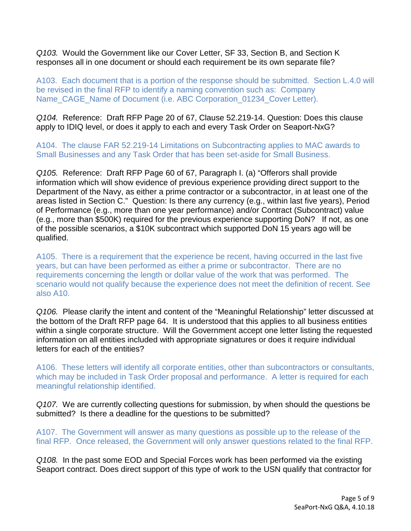*Q103.* Would the Government like our Cover Letter, SF 33, Section B, and Section K responses all in one document or should each requirement be its own separate file?

A103. Each document that is a portion of the response should be submitted. Section L.4.0 will be revised in the final RFP to identify a naming convention such as: Company Name\_CAGE\_Name of Document (i.e. ABC Corporation\_01234\_Cover Letter).

*Q104.* Reference: Draft RFP Page 20 of 67, Clause 52.219-14. Question: Does this clause apply to IDIQ level, or does it apply to each and every Task Order on Seaport-NxG?

A104. The clause FAR 52.219-14 Limitations on Subcontracting applies to MAC awards to Small Businesses and any Task Order that has been set-aside for Small Business.

*Q105.* Reference: Draft RFP Page 60 of 67, Paragraph I. (a) "Offerors shall provide information which will show evidence of previous experience providing direct support to the Department of the Navy, as either a prime contractor or a subcontractor, in at least one of the areas listed in Section C." Question: Is there any currency (e.g., within last five years), Period of Performance (e.g., more than one year performance) and/or Contract (Subcontract) value (e.g., more than \$500K) required for the previous experience supporting DoN? If not, as one of the possible scenarios, a \$10K subcontract which supported DoN 15 years ago will be qualified.

A105. There is a requirement that the experience be recent, having occurred in the last five years, but can have been performed as either a prime or subcontractor. There are no requirements concerning the length or dollar value of the work that was performed. The scenario would not qualify because the experience does not meet the definition of recent. See also A10.

*Q106.* Please clarify the intent and content of the "Meaningful Relationship" letter discussed at the bottom of the Draft RFP page 64. It is understood that this applies to all business entities within a single corporate structure. Will the Government accept one letter listing the requested information on all entities included with appropriate signatures or does it require individual letters for each of the entities?

A106. These letters will identify all corporate entities, other than subcontractors or consultants, which may be included in Task Order proposal and performance. A letter is required for each meaningful relationship identified.

*Q107.* We are currently collecting questions for submission, by when should the questions be submitted? Is there a deadline for the questions to be submitted?

A107. The Government will answer as many questions as possible up to the release of the final RFP. Once released, the Government will only answer questions related to the final RFP.

*Q108.* In the past some EOD and Special Forces work has been performed via the existing Seaport contract. Does direct support of this type of work to the USN qualify that contractor for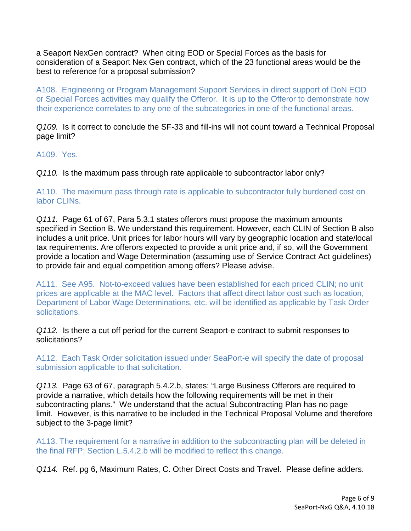a Seaport NexGen contract? When citing EOD or Special Forces as the basis for consideration of a Seaport Nex Gen contract, which of the 23 functional areas would be the best to reference for a proposal submission?

A108. Engineering or Program Management Support Services in direct support of DoN EOD or Special Forces activities may qualify the Offeror. It is up to the Offeror to demonstrate how their experience correlates to any one of the subcategories in one of the functional areas.

*Q109.* Is it correct to conclude the SF-33 and fill-ins will not count toward a Technical Proposal page limit?

A109. Yes.

*Q110.* Is the maximum pass through rate applicable to subcontractor labor only?

A110. The maximum pass through rate is applicable to subcontractor fully burdened cost on labor CLINs.

*Q111.* Page 61 of 67, Para 5.3.1 states offerors must propose the maximum amounts specified in Section B. We understand this requirement. However, each CLIN of Section B also includes a unit price. Unit prices for labor hours will vary by geographic location and state/local tax requirements. Are offerors expected to provide a unit price and, if so, will the Government provide a location and Wage Determination (assuming use of Service Contract Act guidelines) to provide fair and equal competition among offers? Please advise.

A111. See A95. Not-to-exceed values have been established for each priced CLIN; no unit prices are applicable at the MAC level. Factors that affect direct labor cost such as location, Department of Labor Wage Determinations, etc. will be identified as applicable by Task Order solicitations.

*Q112.* Is there a cut off period for the current Seaport-e contract to submit responses to solicitations?

A112. Each Task Order solicitation issued under SeaPort-e will specify the date of proposal submission applicable to that solicitation.

*Q113.* Page 63 of 67, paragraph 5.4.2.b, states: "Large Business Offerors are required to provide a narrative, which details how the following requirements will be met in their subcontracting plans." We understand that the actual Subcontracting Plan has no page limit. However, is this narrative to be included in the Technical Proposal Volume and therefore subject to the 3-page limit?

A113. The requirement for a narrative in addition to the subcontracting plan will be deleted in the final RFP; Section L.5.4.2.b will be modified to reflect this change.

*Q114.* Ref. pg 6, Maximum Rates, C. Other Direct Costs and Travel. Please define adders.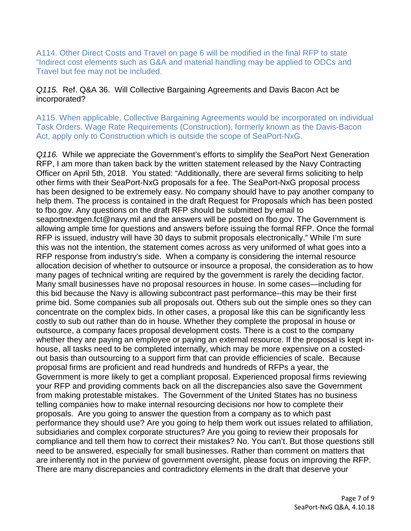A114. Other Direct Costs and Travel on page 6 will be modified in the final RFP to state "Indirect cost elements such as G&A and material handling may be applied to ODCs and Travel but fee may not be included.

## *Q115.* Ref. Q&A 36. Will Collective Bargaining Agreements and Davis Bacon Act be incorporated?

A115. When applicable, Collective Bargaining Agreements would be incorporated on individual Task Orders. Wage Rate Requirements (Construction), formerly known as the Davis-Bacon Act, apply only to Construction which is outside the scope of SeaPort-NxG.

*Q116.* While we appreciate the Government's efforts to simplify the SeaPort Next Generation RFP, I am more than taken back by the written statement released by the Navy Contracting Officer on April 5th, 2018. You stated: "Additionally, there are several firms soliciting to help other firms with their SeaPort-NxG proposals for a fee. The SeaPort-NxG proposal process has been designed to be extremely easy. No company should have to pay another company to help them. The process is contained in the draft Request for Proposals which has been posted to fbo.gov. Any questions on the draft RFP should be submitted by email to seaportnextgen.fct@navy.mil and the answers will be posted on fbo.gov. The Government is allowing ample time for questions and answers before issuing the formal RFP. Once the formal RFP is issued, industry will have 30 days to submit proposals electronically." While I'm sure this was not the intention, the statement comes across as very uniformed of what goes into a RFP response from industry's side. When a company is considering the internal resource allocation decision of whether to outsource or insource a proposal, the consideration as to how many pages of technical writing are required by the government is rarely the deciding factor. Many small businesses have no proposal resources in house. In some cases—including for this bid because the Navy is allowing subcontract past performance--this may be their first prime bid. Some companies sub all proposals out. Others sub out the simple ones so they can concentrate on the complex bids. In other cases, a proposal like this can be significantly less costly to sub out rather than do in house. Whether they complete the proposal in house or outsource, a company faces proposal development costs. There is a cost to the company whether they are paying an employee or paying an external resource. If the proposal is kept inhouse, all tasks need to be completed internally, which may be more expensive on a costedout basis than outsourcing to a support firm that can provide efficiencies of scale. Because proposal firms are proficient and read hundreds and hundreds of RFPs a year, the Government is more likely to get a compliant proposal. Experienced proposal firms reviewing your RFP and providing comments back on all the discrepancies also save the Government from making protestable mistakes. The Government of the United States has no business telling companies how to make internal resourcing decisions nor how to complete their proposals. Are you going to answer the question from a company as to which past performance they should use? Are you going to help them work out issues related to affiliation, subsidiaries and complex corporate structures? Are you going to review their proposals for compliance and tell them how to correct their mistakes? No. You can't. But those questions still need to be answered, especially for small businesses. Rather than comment on matters that are inherently not in the purview of government oversight, please focus on improving the RFP. There are many discrepancies and contradictory elements in the draft that deserve your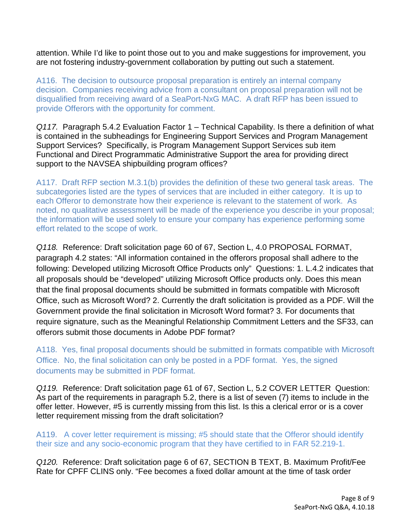attention. While I'd like to point those out to you and make suggestions for improvement, you are not fostering industry-government collaboration by putting out such a statement.

A116. The decision to outsource proposal preparation is entirely an internal company decision. Companies receiving advice from a consultant on proposal preparation will not be disqualified from receiving award of a SeaPort-NxG MAC. A draft RFP has been issued to provide Offerors with the opportunity for comment.

*Q117.* Paragraph 5.4.2 Evaluation Factor 1 – Technical Capability. Is there a definition of what is contained in the subheadings for Engineering Support Services and Program Management Support Services? Specifically, is Program Management Support Services sub item Functional and Direct Programmatic Administrative Support the area for providing direct support to the NAVSEA shipbuilding program offices?

A117. Draft RFP section M.3.1(b) provides the definition of these two general task areas. The subcategories listed are the types of services that are included in either category. It is up to each Offeror to demonstrate how their experience is relevant to the statement of work. As noted, no qualitative assessment will be made of the experience you describe in your proposal; the information will be used solely to ensure your company has experience performing some effort related to the scope of work.

*Q118.* Reference: Draft solicitation page 60 of 67, Section L, 4.0 PROPOSAL FORMAT, paragraph 4.2 states: "All information contained in the offerors proposal shall adhere to the following: Developed utilizing Microsoft Office Products only" Questions: 1. L.4.2 indicates that all proposals should be "developed" utilizing Microsoft Office products only. Does this mean that the final proposal documents should be submitted in formats compatible with Microsoft Office, such as Microsoft Word? 2. Currently the draft solicitation is provided as a PDF. Will the Government provide the final solicitation in Microsoft Word format? 3. For documents that require signature, such as the Meaningful Relationship Commitment Letters and the SF33, can offerors submit those documents in Adobe PDF format?

A118. Yes, final proposal documents should be submitted in formats compatible with Microsoft Office. No, the final solicitation can only be posted in a PDF format. Yes, the signed documents may be submitted in PDF format.

*Q119.* Reference: Draft solicitation page 61 of 67, Section L, 5.2 COVER LETTER Question: As part of the requirements in paragraph 5.2, there is a list of seven (7) items to include in the offer letter. However, #5 is currently missing from this list. Is this a clerical error or is a cover letter requirement missing from the draft solicitation?

A119. A cover letter requirement is missing; #5 should state that the Offeror should identify their size and any socio-economic program that they have certified to in FAR 52.219-1.

*Q120.* Reference: Draft solicitation page 6 of 67, SECTION B TEXT, B. Maximum Profit/Fee Rate for CPFF CLINS only. "Fee becomes a fixed dollar amount at the time of task order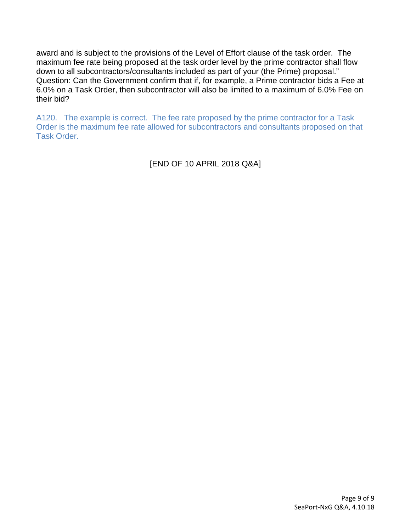award and is subject to the provisions of the Level of Effort clause of the task order. The maximum fee rate being proposed at the task order level by the prime contractor shall flow down to all subcontractors/consultants included as part of your (the Prime) proposal." Question: Can the Government confirm that if, for example, a Prime contractor bids a Fee at 6.0% on a Task Order, then subcontractor will also be limited to a maximum of 6.0% Fee on their bid?

A120. The example is correct. The fee rate proposed by the prime contractor for a Task Order is the maximum fee rate allowed for subcontractors and consultants proposed on that Task Order.

[END OF 10 APRIL 2018 Q&A]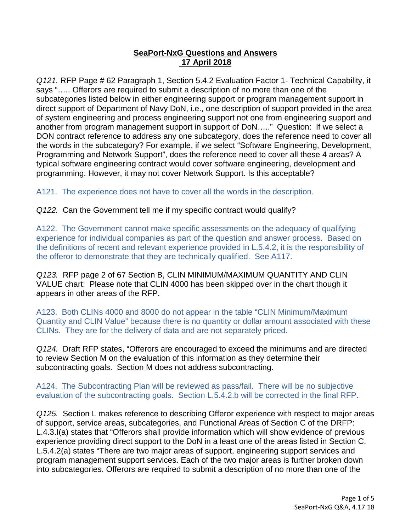# **SeaPort-NxG Questions and Answers 17 April 2018**

*Q121.* RFP Page # 62 Paragraph 1, Section 5.4.2 Evaluation Factor 1- Technical Capability, it says "….. Offerors are required to submit a description of no more than one of the subcategories listed below in either engineering support or program management support in direct support of Department of Navy DoN, i.e., one description of support provided in the area of system engineering and process engineering support not one from engineering support and another from program management support in support of DoN….." Question: If we select a DON contract reference to address any one subcategory, does the reference need to cover all the words in the subcategory? For example, if we select "Software Engineering, Development, Programming and Network Support", does the reference need to cover all these 4 areas? A typical software engineering contract would cover software engineering, development and programming. However, it may not cover Network Support. Is this acceptable?

A121. The experience does not have to cover all the words in the description.

*Q122.* Can the Government tell me if my specific contract would qualify?

A122. The Government cannot make specific assessments on the adequacy of qualifying experience for individual companies as part of the question and answer process. Based on the definitions of recent and relevant experience provided in L.5.4.2, it is the responsibility of the offeror to demonstrate that they are technically qualified. See A117.

*Q123.* RFP page 2 of 67 Section B, CLIN MINIMUM/MAXIMUM QUANTITY AND CLIN VALUE chart: Please note that CLIN 4000 has been skipped over in the chart though it appears in other areas of the RFP.

A123. Both CLINs 4000 and 8000 do not appear in the table "CLIN Minimum/Maximum Quantity and CLIN Value" because there is no quantity or dollar amount associated with these CLINs. They are for the delivery of data and are not separately priced.

*Q124.* Draft RFP states, "Offerors are encouraged to exceed the minimums and are directed to review Section M on the evaluation of this information as they determine their subcontracting goals. Section M does not address subcontracting.

A124. The Subcontracting Plan will be reviewed as pass/fail. There will be no subjective evaluation of the subcontracting goals. Section L.5.4.2.b will be corrected in the final RFP.

*Q125.* Section L makes reference to describing Offeror experience with respect to major areas of support, service areas, subcategories, and Functional Areas of Section C of the DRFP: L.4.3.I(a) states that "Offerors shall provide information which will show evidence of previous experience providing direct support to the DoN in a least one of the areas listed in Section C. L.5.4.2(a) states "There are two major areas of support, engineering support services and program management support services. Each of the two major areas is further broken down into subcategories. Offerors are required to submit a description of no more than one of the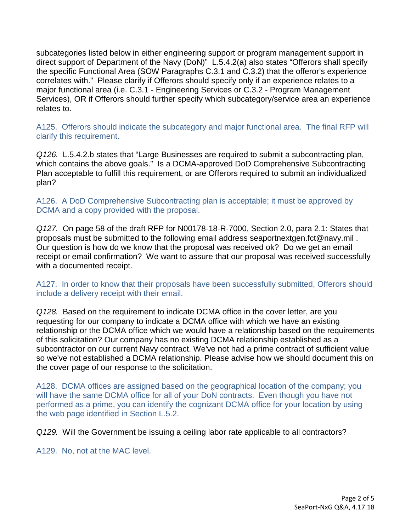subcategories listed below in either engineering support or program management support in direct support of Department of the Navy (DoN)" L.5.4.2(a) also states "Offerors shall specify the specific Functional Area (SOW Paragraphs C.3.1 and C.3.2) that the offeror's experience correlates with." Please clarify if Offerors should specify only if an experience relates to a major functional area (i.e. C.3.1 - Engineering Services or C.3.2 - Program Management Services), OR if Offerors should further specify which subcategory/service area an experience relates to.

A125. Offerors should indicate the subcategory and major functional area. The final RFP will clarify this requirement.

*Q126.* L.5.4.2.b states that "Large Businesses are required to submit a subcontracting plan, which contains the above goals." Is a DCMA-approved DoD Comprehensive Subcontracting Plan acceptable to fulfill this requirement, or are Offerors required to submit an individualized plan?

A126. A DoD Comprehensive Subcontracting plan is acceptable; it must be approved by DCMA and a copy provided with the proposal.

*Q127.* On page 58 of the draft RFP for N00178-18-R-7000, Section 2.0, para 2.1: States that proposals must be submitted to the following email address seaportnextgen.fct@navy.mil . Our question is how do we know that the proposal was received ok? Do we get an email receipt or email confirmation? We want to assure that our proposal was received successfully with a documented receipt.

A127. In order to know that their proposals have been successfully submitted, Offerors should include a delivery receipt with their email.

*Q128.* Based on the requirement to indicate DCMA office in the cover letter, are you requesting for our company to indicate a DCMA office with which we have an existing relationship or the DCMA office which we would have a relationship based on the requirements of this solicitation? Our company has no existing DCMA relationship established as a subcontractor on our current Navy contract. We've not had a prime contract of sufficient value so we've not established a DCMA relationship. Please advise how we should document this on the cover page of our response to the solicitation.

A128. DCMA offices are assigned based on the geographical location of the company; you will have the same DCMA office for all of your DoN contracts. Even though you have not performed as a prime, you can identify the cognizant DCMA office for your location by using the web page identified in Section L.5.2.

*Q129.* Will the Government be issuing a ceiling labor rate applicable to all contractors?

A129. No, not at the MAC level.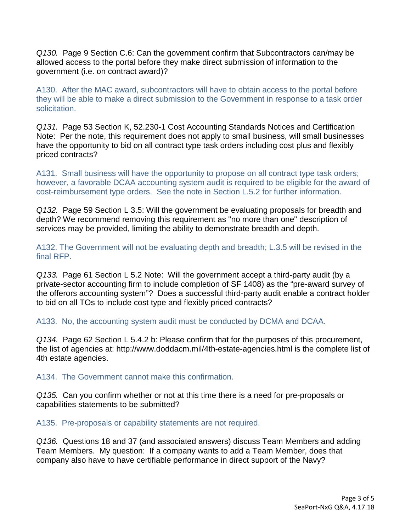*Q130.* Page 9 Section C.6: Can the government confirm that Subcontractors can/may be allowed access to the portal before they make direct submission of information to the government (i.e. on contract award)?

A130. After the MAC award, subcontractors will have to obtain access to the portal before they will be able to make a direct submission to the Government in response to a task order solicitation.

*Q131.* Page 53 Section K, 52.230-1 Cost Accounting Standards Notices and Certification Note: Per the note, this requirement does not apply to small business, will small businesses have the opportunity to bid on all contract type task orders including cost plus and flexibly priced contracts?

A131. Small business will have the opportunity to propose on all contract type task orders; however, a favorable DCAA accounting system audit is required to be eligible for the award of cost-reimbursement type orders. See the note in Section L.5.2 for further information.

*Q132.* Page 59 Section L 3.5: Will the government be evaluating proposals for breadth and depth? We recommend removing this requirement as "no more than one" description of services may be provided, limiting the ability to demonstrate breadth and depth.

A132. The Government will not be evaluating depth and breadth; L.3.5 will be revised in the final RFP.

*Q133.* Page 61 Section L 5.2 Note: Will the government accept a third-party audit (by a private-sector accounting firm to include completion of SF 1408) as the "pre-award survey of the offerors accounting system"? Does a successful third-party audit enable a contract holder to bid on all TOs to include cost type and flexibly priced contracts?

A133. No, the accounting system audit must be conducted by DCMA and DCAA.

*Q134.* Page 62 Section L 5.4.2 b: Please confirm that for the purposes of this procurement, the list of agencies at: http://www.doddacm.mil/4th-estate-agencies.html is the complete list of 4th estate agencies.

A134. The Government cannot make this confirmation.

*Q135.* Can you confirm whether or not at this time there is a need for pre-proposals or capabilities statements to be submitted?

A135. Pre-proposals or capability statements are not required.

*Q136.* Questions 18 and 37 (and associated answers) discuss Team Members and adding Team Members. My question: If a company wants to add a Team Member, does that company also have to have certifiable performance in direct support of the Navy?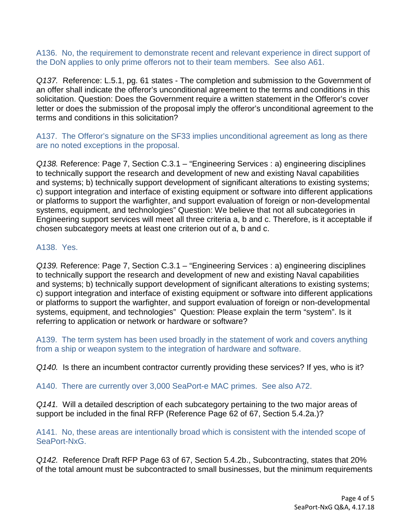A136. No, the requirement to demonstrate recent and relevant experience in direct support of the DoN applies to only prime offerors not to their team members. See also A61.

*Q137.* Reference: L.5.1, pg. 61 states - The completion and submission to the Government of an offer shall indicate the offeror's unconditional agreement to the terms and conditions in this solicitation. Question: Does the Government require a written statement in the Offeror's cover letter or does the submission of the proposal imply the offeror's unconditional agreement to the terms and conditions in this solicitation?

A137. The Offeror's signature on the SF33 implies unconditional agreement as long as there are no noted exceptions in the proposal.

*Q138.* Reference: Page 7, Section C.3.1 – "Engineering Services : a) engineering disciplines to technically support the research and development of new and existing Naval capabilities and systems; b) technically support development of significant alterations to existing systems; c) support integration and interface of existing equipment or software into different applications or platforms to support the warfighter, and support evaluation of foreign or non-developmental systems, equipment, and technologies" Question: We believe that not all subcategories in Engineering support services will meet all three criteria a, b and c. Therefore, is it acceptable if chosen subcategory meets at least one criterion out of a, b and c.

# A138. Yes.

*Q139.* Reference: Page 7, Section C.3.1 – "Engineering Services : a) engineering disciplines to technically support the research and development of new and existing Naval capabilities and systems; b) technically support development of significant alterations to existing systems; c) support integration and interface of existing equipment or software into different applications or platforms to support the warfighter, and support evaluation of foreign or non-developmental systems, equipment, and technologies" Question: Please explain the term "system". Is it referring to application or network or hardware or software?

A139. The term system has been used broadly in the statement of work and covers anything from a ship or weapon system to the integration of hardware and software.

*Q140.* Is there an incumbent contractor currently providing these services? If yes, who is it?

A140. There are currently over 3,000 SeaPort-e MAC primes. See also A72.

*Q141.* Will a detailed description of each subcategory pertaining to the two major areas of support be included in the final RFP (Reference Page 62 of 67, Section 5.4.2a.)?

A141. No, these areas are intentionally broad which is consistent with the intended scope of SeaPort-NxG.

*Q142.* Reference Draft RFP Page 63 of 67, Section 5.4.2b., Subcontracting, states that 20% of the total amount must be subcontracted to small businesses, but the minimum requirements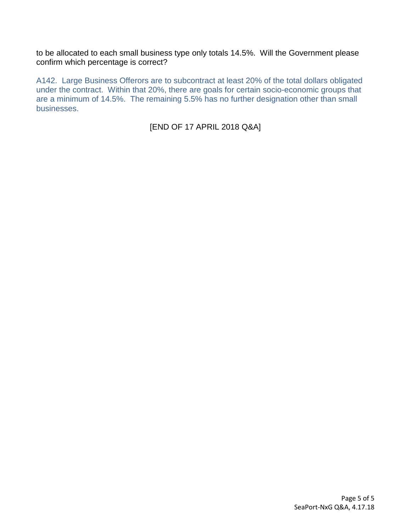to be allocated to each small business type only totals 14.5%. Will the Government please confirm which percentage is correct?

A142. Large Business Offerors are to subcontract at least 20% of the total dollars obligated under the contract. Within that 20%, there are goals for certain socio-economic groups that are a minimum of 14.5%. The remaining 5.5% has no further designation other than small businesses.

[END OF 17 APRIL 2018 Q&A]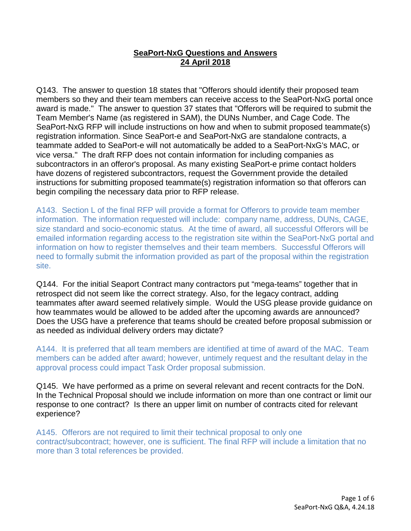# **SeaPort-NxG Questions and Answers 24 April 2018**

Q143. The answer to question 18 states that "Offerors should identify their proposed team members so they and their team members can receive access to the SeaPort-NxG portal once award is made." The answer to question 37 states that "Offerors will be required to submit the Team Member's Name (as registered in SAM), the DUNs Number, and Cage Code. The SeaPort-NxG RFP will include instructions on how and when to submit proposed teammate(s) registration information. Since SeaPort-e and SeaPort-NxG are standalone contracts, a teammate added to SeaPort-e will not automatically be added to a SeaPort-NxG's MAC, or vice versa." The draft RFP does not contain information for including companies as subcontractors in an offeror's proposal. As many existing SeaPort-e prime contact holders have dozens of registered subcontractors, request the Government provide the detailed instructions for submitting proposed teammate(s) registration information so that offerors can begin compiling the necessary data prior to RFP release.

A143. Section L of the final RFP will provide a format for Offerors to provide team member information. The information requested will include: company name, address, DUNs, CAGE, size standard and socio-economic status. At the time of award, all successful Offerors will be emailed information regarding access to the registration site within the SeaPort-NxG portal and information on how to register themselves and their team members. Successful Offerors will need to formally submit the information provided as part of the proposal within the registration site.

Q144. For the initial Seaport Contract many contractors put "mega-teams" together that in retrospect did not seem like the correct strategy. Also, for the legacy contract, adding teammates after award seemed relatively simple. Would the USG please provide guidance on how teammates would be allowed to be added after the upcoming awards are announced? Does the USG have a preference that teams should be created before proposal submission or as needed as individual delivery orders may dictate?

A144. It is preferred that all team members are identified at time of award of the MAC. Team members can be added after award; however, untimely request and the resultant delay in the approval process could impact Task Order proposal submission.

Q145. We have performed as a prime on several relevant and recent contracts for the DoN. In the Technical Proposal should we include information on more than one contract or limit our response to one contract? Is there an upper limit on number of contracts cited for relevant experience?

A145. Offerors are not required to limit their technical proposal to only one contract/subcontract; however, one is sufficient. The final RFP will include a limitation that no more than 3 total references be provided.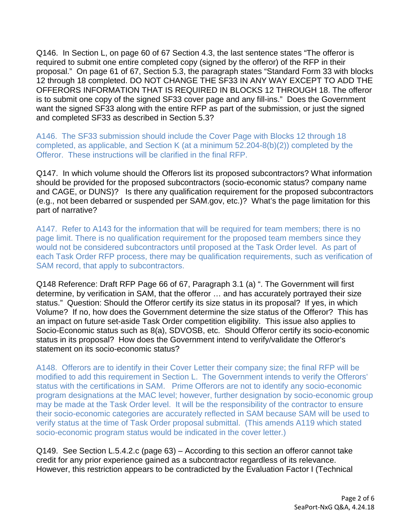Q146. In Section L, on page 60 of 67 Section 4.3, the last sentence states "The offeror is required to submit one entire completed copy (signed by the offeror) of the RFP in their proposal." On page 61 of 67, Section 5.3, the paragraph states "Standard Form 33 with blocks 12 through 18 completed. DO NOT CHANGE THE SF33 IN ANY WAY EXCEPT TO ADD THE OFFERORS INFORMATION THAT IS REQUIRED IN BLOCKS 12 THROUGH 18. The offeror is to submit one copy of the signed SF33 cover page and any fill-ins." Does the Government want the signed SF33 along with the entire RFP as part of the submission, or just the signed and completed SF33 as described in Section 5.3?

A146. The SF33 submission should include the Cover Page with Blocks 12 through 18 completed, as applicable, and Section K (at a minimum 52.204-8(b)(2)) completed by the Offeror. These instructions will be clarified in the final RFP.

Q147. In which volume should the Offerors list its proposed subcontractors? What information should be provided for the proposed subcontractors (socio-economic status? company name and CAGE, or DUNS)? Is there any qualification requirement for the proposed subcontractors (e.g., not been debarred or suspended per SAM.gov, etc.)? What's the page limitation for this part of narrative?

A147. Refer to A143 for the information that will be required for team members; there is no page limit. There is no qualification requirement for the proposed team members since they would not be considered subcontractors until proposed at the Task Order level. As part of each Task Order RFP process, there may be qualification requirements, such as verification of SAM record, that apply to subcontractors.

Q148 Reference: Draft RFP Page 66 of 67, Paragraph 3.1 (a) ". The Government will first determine, by verification in SAM, that the offeror … and has accurately portrayed their size status." Question: Should the Offeror certify its size status in its proposal? If yes, in which Volume? If no, how does the Government determine the size status of the Offeror? This has an impact on future set-aside Task Order competition eligibility. This issue also applies to Socio-Economic status such as 8(a), SDVOSB, etc. Should Offeror certify its socio-economic status in its proposal? How does the Government intend to verify/validate the Offeror's statement on its socio-economic status?

A148. Offerors are to identify in their Cover Letter their company size; the final RFP will be modified to add this requirement in Section L. The Government intends to verify the Offerors' status with the certifications in SAM. Prime Offerors are not to identify any socio-economic program designations at the MAC level; however, further designation by socio-economic group may be made at the Task Order level. It will be the responsibility of the contractor to ensure their socio-economic categories are accurately reflected in SAM because SAM will be used to verify status at the time of Task Order proposal submittal. (This amends A119 which stated socio-economic program status would be indicated in the cover letter.)

Q149. See Section L.5.4.2.c (page 63) – According to this section an offeror cannot take credit for any prior experience gained as a subcontractor regardless of its relevance. However, this restriction appears to be contradicted by the Evaluation Factor I (Technical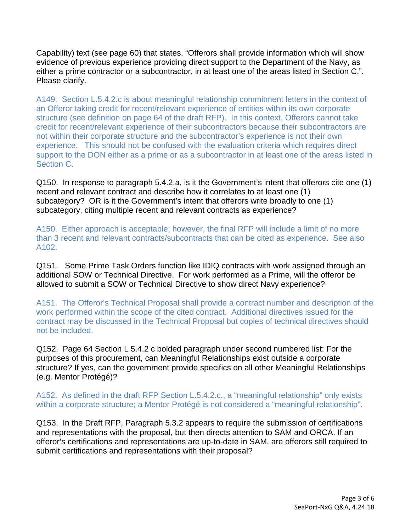Capability) text (see page 60) that states, "Offerors shall provide information which will show evidence of previous experience providing direct support to the Department of the Navy, as either a prime contractor or a subcontractor, in at least one of the areas listed in Section C.". Please clarify.

A149. Section L.5.4.2.c is about meaningful relationship commitment letters in the context of an Offeror taking credit for recent/relevant experience of entities within its own corporate structure (see definition on page 64 of the draft RFP). In this context, Offerors cannot take credit for recent/relevant experience of their subcontractors because their subcontractors are not within their corporate structure and the subcontractor's experience is not their own experience. This should not be confused with the evaluation criteria which requires direct support to the DON either as a prime or as a subcontractor in at least one of the areas listed in Section C.

Q150. In response to paragraph 5.4.2.a, is it the Government's intent that offerors cite one (1) recent and relevant contract and describe how it correlates to at least one (1) subcategory? OR is it the Government's intent that offerors write broadly to one (1) subcategory, citing multiple recent and relevant contracts as experience?

A150. Either approach is acceptable; however, the final RFP will include a limit of no more than 3 recent and relevant contracts/subcontracts that can be cited as experience. See also A102.

Q151. Some Prime Task Orders function like IDIQ contracts with work assigned through an additional SOW or Technical Directive. For work performed as a Prime, will the offeror be allowed to submit a SOW or Technical Directive to show direct Navy experience?

A151. The Offeror's Technical Proposal shall provide a contract number and description of the work performed within the scope of the cited contract. Additional directives issued for the contract may be discussed in the Technical Proposal but copies of technical directives should not be included.

Q152. Page 64 Section L 5.4.2 c bolded paragraph under second numbered list: For the purposes of this procurement, can Meaningful Relationships exist outside a corporate structure? If yes, can the government provide specifics on all other Meaningful Relationships (e.g. Mentor Protégé)?

A152. As defined in the draft RFP Section L.5.4.2.c., a "meaningful relationship" only exists within a corporate structure; a Mentor Protégé is not considered a "meaningful relationship".

Q153. In the Draft RFP, Paragraph 5.3.2 appears to require the submission of certifications and representations with the proposal, but then directs attention to SAM and ORCA. If an offeror's certifications and representations are up-to-date in SAM, are offerors still required to submit certifications and representations with their proposal?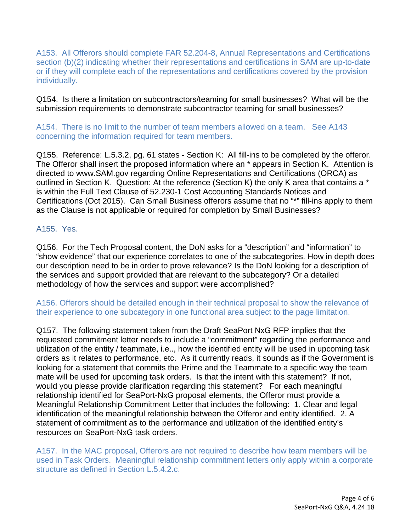A153. All Offerors should complete FAR 52.204-8, Annual Representations and Certifications section (b)(2) indicating whether their representations and certifications in SAM are up-to-date or if they will complete each of the representations and certifications covered by the provision individually.

Q154. Is there a limitation on subcontractors/teaming for small businesses? What will be the submission requirements to demonstrate subcontractor teaming for small businesses?

A154. There is no limit to the number of team members allowed on a team. See A143 concerning the information required for team members.

Q155. Reference: L.5.3.2, pg. 61 states - Section K: All fill-ins to be completed by the offeror. The Offeror shall insert the proposed information where an \* appears in Section K. Attention is directed to www.SAM.gov regarding Online Representations and Certifications (ORCA) as outlined in Section K. Question: At the reference (Section K) the only K area that contains a \* is within the Full Text Clause of 52.230-1 Cost Accounting Standards Notices and Certifications (Oct 2015). Can Small Business offerors assume that no "\*" fill-ins apply to them as the Clause is not applicable or required for completion by Small Businesses?

## A155. Yes.

Q156. For the Tech Proposal content, the DoN asks for a "description" and "information" to "show evidence" that our experience correlates to one of the subcategories. How in depth does our description need to be in order to prove relevance? Is the DoN looking for a description of the services and support provided that are relevant to the subcategory? Or a detailed methodology of how the services and support were accomplished?

A156. Offerors should be detailed enough in their technical proposal to show the relevance of their experience to one subcategory in one functional area subject to the page limitation.

Q157. The following statement taken from the Draft SeaPort NxG RFP implies that the requested commitment letter needs to include a "commitment" regarding the performance and utilization of the entity / teammate, i.e.., how the identified entity will be used in upcoming task orders as it relates to performance, etc. As it currently reads, it sounds as if the Government is looking for a statement that commits the Prime and the Teammate to a specific way the team mate will be used for upcoming task orders. Is that the intent with this statement? If not, would you please provide clarification regarding this statement? For each meaningful relationship identified for SeaPort-NxG proposal elements, the Offeror must provide a Meaningful Relationship Commitment Letter that includes the following: 1. Clear and legal identification of the meaningful relationship between the Offeror and entity identified. 2. A statement of commitment as to the performance and utilization of the identified entity's resources on SeaPort-NxG task orders.

A157. In the MAC proposal, Offerors are not required to describe how team members will be used in Task Orders. Meaningful relationship commitment letters only apply within a corporate structure as defined in Section L.5.4.2.c.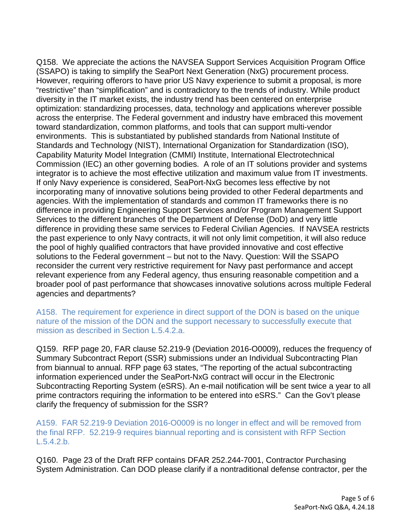Q158. We appreciate the actions the NAVSEA Support Services Acquisition Program Office (SSAPO) is taking to simplify the SeaPort Next Generation (NxG) procurement process. However, requiring offerors to have prior US Navy experience to submit a proposal, is more "restrictive" than "simplification" and is contradictory to the trends of industry. While product diversity in the IT market exists, the industry trend has been centered on enterprise optimization: standardizing processes, data, technology and applications wherever possible across the enterprise. The Federal government and industry have embraced this movement toward standardization, common platforms, and tools that can support multi-vendor environments. This is substantiated by published standards from National Institute of Standards and Technology (NIST), International Organization for Standardization (ISO), Capability Maturity Model Integration (CMMI) Institute, International Electrotechnical Commission (IEC) an other governing bodies. A role of an IT solutions provider and systems integrator is to achieve the most effective utilization and maximum value from IT investments. If only Navy experience is considered, SeaPort-NxG becomes less effective by not incorporating many of innovative solutions being provided to other Federal departments and agencies. With the implementation of standards and common IT frameworks there is no difference in providing Engineering Support Services and/or Program Management Support Services to the different branches of the Department of Defense (DoD) and very little difference in providing these same services to Federal Civilian Agencies. If NAVSEA restricts the past experience to only Navy contracts, it will not only limit competition, it will also reduce the pool of highly qualified contractors that have provided innovative and cost effective solutions to the Federal government – but not to the Navy. Question: Will the SSAPO reconsider the current very restrictive requirement for Navy past performance and accept relevant experience from any Federal agency, thus ensuring reasonable competition and a broader pool of past performance that showcases innovative solutions across multiple Federal agencies and departments?

A158. The requirement for experience in direct support of the DON is based on the unique nature of the mission of the DON and the support necessary to successfully execute that mission as described in Section L.5.4.2.a.

Q159. RFP page 20, FAR clause 52.219-9 (Deviation 2016-O0009), reduces the frequency of Summary Subcontract Report (SSR) submissions under an Individual Subcontracting Plan from biannual to annual. RFP page 63 states, "The reporting of the actual subcontracting information experienced under the SeaPort-NxG contract will occur in the Electronic Subcontracting Reporting System (eSRS). An e-mail notification will be sent twice a year to all prime contractors requiring the information to be entered into eSRS." Can the Gov't please clarify the frequency of submission for the SSR?

A159. FAR 52.219-9 Deviation 2016-O0009 is no longer in effect and will be removed from the final RFP. 52.219-9 requires biannual reporting and is consistent with RFP Section L.5.4.2.b.

Q160. Page 23 of the Draft RFP contains DFAR 252.244-7001, Contractor Purchasing System Administration. Can DOD please clarify if a nontraditional defense contractor, per the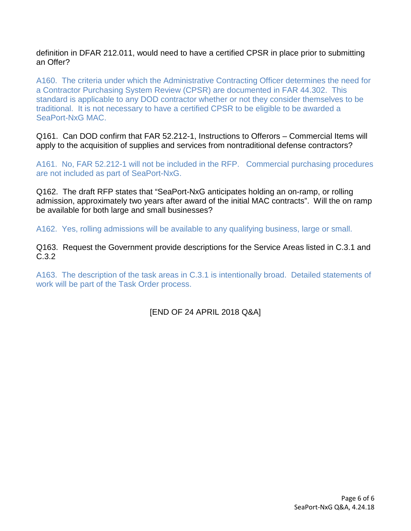definition in DFAR 212.011, would need to have a certified CPSR in place prior to submitting an Offer?

A160. The criteria under which the Administrative Contracting Officer determines the need for a Contractor Purchasing System Review (CPSR) are documented in FAR 44.302. This standard is applicable to any DOD contractor whether or not they consider themselves to be traditional. It is not necessary to have a certified CPSR to be eligible to be awarded a SeaPort-NxG MAC.

Q161. Can DOD confirm that FAR 52.212-1, Instructions to Offerors – Commercial Items will apply to the acquisition of supplies and services from nontraditional defense contractors?

A161. No, FAR 52.212-1 will not be included in the RFP. Commercial purchasing procedures are not included as part of SeaPort-NxG.

Q162. The draft RFP states that "SeaPort-NxG anticipates holding an on-ramp, or rolling admission, approximately two years after award of the initial MAC contracts". Will the on ramp be available for both large and small businesses?

A162. Yes, rolling admissions will be available to any qualifying business, large or small.

Q163. Request the Government provide descriptions for the Service Areas listed in C.3.1 and C.3.2

A163. The description of the task areas in C.3.1 is intentionally broad. Detailed statements of work will be part of the Task Order process.

[END OF 24 APRIL 2018 Q&A]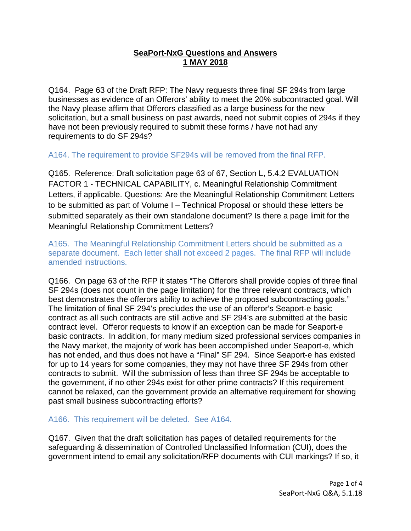# **SeaPort-NxG Questions and Answers 1 MAY 2018**

Q164. Page 63 of the Draft RFP: The Navy requests three final SF 294s from large businesses as evidence of an Offerors' ability to meet the 20% subcontracted goal. Will the Navy please affirm that Offerors classified as a large business for the new solicitation, but a small business on past awards, need not submit copies of 294s if they have not been previously required to submit these forms / have not had any requirements to do SF 294s?

A164. The requirement to provide SF294s will be removed from the final RFP.

Q165. Reference: Draft solicitation page 63 of 67, Section L, 5.4.2 EVALUATION FACTOR 1 - TECHNICAL CAPABILITY, c. Meaningful Relationship Commitment Letters, if applicable. Questions: Are the Meaningful Relationship Commitment Letters to be submitted as part of Volume I – Technical Proposal or should these letters be submitted separately as their own standalone document? Is there a page limit for the Meaningful Relationship Commitment Letters?

A165. The Meaningful Relationship Commitment Letters should be submitted as a separate document. Each letter shall not exceed 2 pages. The final RFP will include amended instructions.

Q166. On page 63 of the RFP it states "The Offerors shall provide copies of three final SF 294s (does not count in the page limitation) for the three relevant contracts, which best demonstrates the offerors ability to achieve the proposed subcontracting goals." The limitation of final SF 294's precludes the use of an offeror's Seaport-e basic contract as all such contracts are still active and SF 294's are submitted at the basic contract level. Offeror requests to know if an exception can be made for Seaport-e basic contracts. In addition, for many medium sized professional services companies in the Navy market, the majority of work has been accomplished under Seaport-e, which has not ended, and thus does not have a "Final" SF 294. Since Seaport-e has existed for up to 14 years for some companies, they may not have three SF 294s from other contracts to submit. Will the submission of less than three SF 294s be acceptable to the government, if no other 294s exist for other prime contracts? If this requirement cannot be relaxed, can the government provide an alternative requirement for showing past small business subcontracting efforts?

# A166. This requirement will be deleted. See A164.

Q167. Given that the draft solicitation has pages of detailed requirements for the safeguarding & dissemination of Controlled Unclassified Information (CUI), does the government intend to email any solicitation/RFP documents with CUI markings? If so, it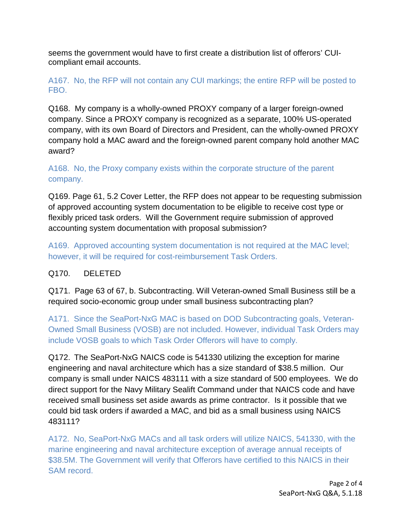seems the government would have to first create a distribution list of offerors' CUIcompliant email accounts.

# A167. No, the RFP will not contain any CUI markings; the entire RFP will be posted to FBO.

Q168. My company is a wholly-owned PROXY company of a larger foreign-owned company. Since a PROXY company is recognized as a separate, 100% US-operated company, with its own Board of Directors and President, can the wholly-owned PROXY company hold a MAC award and the foreign-owned parent company hold another MAC award?

# A168. No, the Proxy company exists within the corporate structure of the parent company.

Q169. Page 61, 5.2 Cover Letter, the RFP does not appear to be requesting submission of approved accounting system documentation to be eligible to receive cost type or flexibly priced task orders. Will the Government require submission of approved accounting system documentation with proposal submission?

A169. Approved accounting system documentation is not required at the MAC level; however, it will be required for cost-reimbursement Task Orders.

# Q170. DELETED

Q171. Page 63 of 67, b. Subcontracting. Will Veteran-owned Small Business still be a required socio-economic group under small business subcontracting plan?

A171. Since the SeaPort-NxG MAC is based on DOD Subcontracting goals, Veteran-Owned Small Business (VOSB) are not included. However, individual Task Orders may include VOSB goals to which Task Order Offerors will have to comply.

Q172. The SeaPort-NxG NAICS code is 541330 utilizing the exception for marine engineering and naval architecture which has a size standard of \$38.5 million. Our company is small under NAICS 483111 with a size standard of 500 employees. We do direct support for the Navy Military Sealift Command under that NAICS code and have received small business set aside awards as prime contractor. Is it possible that we could bid task orders if awarded a MAC, and bid as a small business using NAICS 483111?

A172. No, SeaPort-NxG MACs and all task orders will utilize NAICS, 541330, with the marine engineering and naval architecture exception of average annual receipts of \$38.5M. The Government will verify that Offerors have certified to this NAICS in their SAM record.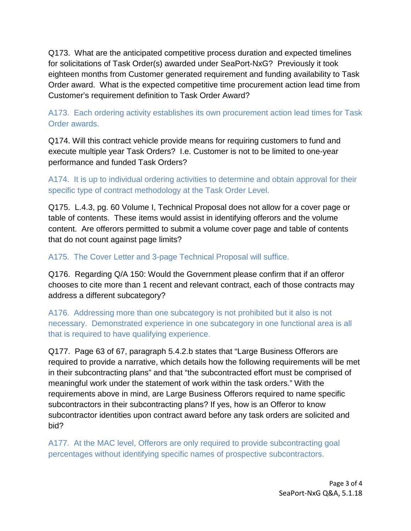Q173. What are the anticipated competitive process duration and expected timelines for solicitations of Task Order(s) awarded under SeaPort-NxG? Previously it took eighteen months from Customer generated requirement and funding availability to Task Order award. What is the expected competitive time procurement action lead time from Customer's requirement definition to Task Order Award?

A173. Each ordering activity establishes its own procurement action lead times for Task Order awards.

Q174. Will this contract vehicle provide means for requiring customers to fund and execute multiple year Task Orders? I.e. Customer is not to be limited to one-year performance and funded Task Orders?

A174. It is up to individual ordering activities to determine and obtain approval for their specific type of contract methodology at the Task Order Level.

Q175. L.4.3, pg. 60 Volume I, Technical Proposal does not allow for a cover page or table of contents. These items would assist in identifying offerors and the volume content. Are offerors permitted to submit a volume cover page and table of contents that do not count against page limits?

A175. The Cover Letter and 3-page Technical Proposal will suffice.

Q176. Regarding Q/A 150: Would the Government please confirm that if an offeror chooses to cite more than 1 recent and relevant contract, each of those contracts may address a different subcategory?

A176. Addressing more than one subcategory is not prohibited but it also is not necessary. Demonstrated experience in one subcategory in one functional area is all that is required to have qualifying experience.

Q177. Page 63 of 67, paragraph 5.4.2.b states that "Large Business Offerors are required to provide a narrative, which details how the following requirements will be met in their subcontracting plans" and that "the subcontracted effort must be comprised of meaningful work under the statement of work within the task orders." With the requirements above in mind, are Large Business Offerors required to name specific subcontractors in their subcontracting plans? If yes, how is an Offeror to know subcontractor identities upon contract award before any task orders are solicited and bid?

A177. At the MAC level, Offerors are only required to provide subcontracting goal percentages without identifying specific names of prospective subcontractors.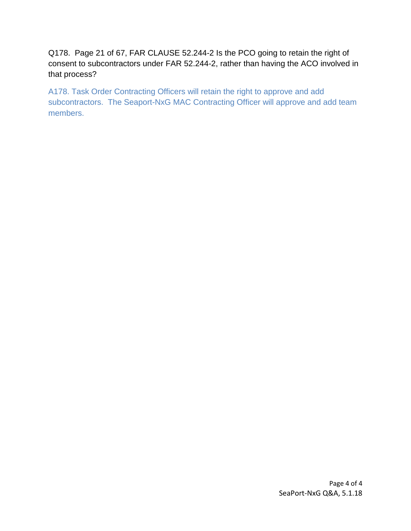Q178. Page 21 of 67, FAR CLAUSE 52.244-2 Is the PCO going to retain the right of consent to subcontractors under FAR 52.244-2, rather than having the ACO involved in that process?

A178. Task Order Contracting Officers will retain the right to approve and add subcontractors. The Seaport-NxG MAC Contracting Officer will approve and add team members.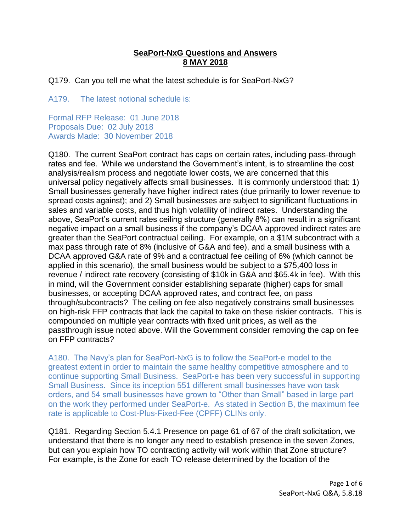# **SeaPort-NxG Questions and Answers 8 MAY 2018**

Q179. Can you tell me what the latest schedule is for SeaPort-NxG?

A179. The latest notional schedule is:

Formal RFP Release: 01 June 2018 Proposals Due: 02 July 2018 Awards Made: 30 November 2018

Q180. The current SeaPort contract has caps on certain rates, including pass-through rates and fee. While we understand the Government's intent, is to streamline the cost analysis/realism process and negotiate lower costs, we are concerned that this universal policy negatively affects small businesses. It is commonly understood that: 1) Small businesses generally have higher indirect rates (due primarily to lower revenue to spread costs against); and 2) Small businesses are subject to significant fluctuations in sales and variable costs, and thus high volatility of indirect rates. Understanding the above, SeaPort's current rates ceiling structure (generally 8%) can result in a significant negative impact on a small business if the company's DCAA approved indirect rates are greater than the SeaPort contractual ceiling. For example, on a \$1M subcontract with a max pass through rate of 8% (inclusive of G&A and fee), and a small business with a DCAA approved G&A rate of 9% and a contractual fee ceiling of 6% (which cannot be applied in this scenario), the small business would be subject to a \$75,400 loss in revenue / indirect rate recovery (consisting of \$10k in G&A and \$65.4k in fee). With this in mind, will the Government consider establishing separate (higher) caps for small businesses, or accepting DCAA approved rates, and contract fee, on pass through/subcontracts? The ceiling on fee also negatively constrains small businesses on high-risk FFP contracts that lack the capital to take on these riskier contracts. This is compounded on multiple year contracts with fixed unit prices, as well as the passthrough issue noted above. Will the Government consider removing the cap on fee on FFP contracts?

A180. The Navy's plan for SeaPort-NxG is to follow the SeaPort-e model to the greatest extent in order to maintain the same healthy competitive atmosphere and to continue supporting Small Business. SeaPort-e has been very successful in supporting Small Business. Since its inception 551 different small businesses have won task orders, and 54 small businesses have grown to "Other than Small" based in large part on the work they performed under SeaPort-e. As stated in Section B, the maximum fee rate is applicable to Cost-Plus-Fixed-Fee (CPFF) CLINs only.

Q181. Regarding Section 5.4.1 Presence on page 61 of 67 of the draft solicitation, we understand that there is no longer any need to establish presence in the seven Zones, but can you explain how TO contracting activity will work within that Zone structure? For example, is the Zone for each TO release determined by the location of the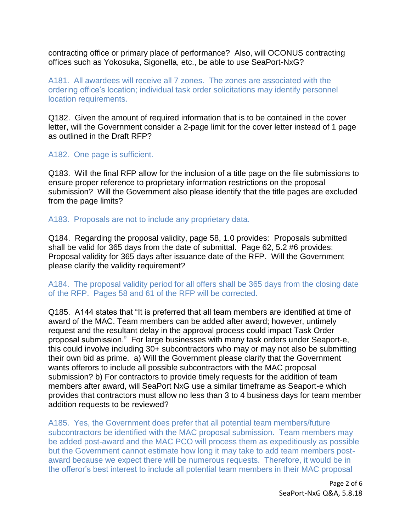contracting office or primary place of performance? Also, will OCONUS contracting offices such as Yokosuka, Sigonella, etc., be able to use SeaPort-NxG?

A181. All awardees will receive all 7 zones. The zones are associated with the ordering office's location; individual task order solicitations may identify personnel location requirements.

Q182. Given the amount of required information that is to be contained in the cover letter, will the Government consider a 2-page limit for the cover letter instead of 1 page as outlined in the Draft RFP?

## A182. One page is sufficient.

Q183. Will the final RFP allow for the inclusion of a title page on the file submissions to ensure proper reference to proprietary information restrictions on the proposal submission? Will the Government also please identify that the title pages are excluded from the page limits?

## A183. Proposals are not to include any proprietary data.

Q184. Regarding the proposal validity, page 58, 1.0 provides: Proposals submitted shall be valid for 365 days from the date of submittal. Page 62, 5.2 #6 provides: Proposal validity for 365 days after issuance date of the RFP. Will the Government please clarify the validity requirement?

## A184. The proposal validity period for all offers shall be 365 days from the closing date of the RFP. Pages 58 and 61 of the RFP will be corrected.

Q185. A144 states that "It is preferred that all team members are identified at time of award of the MAC. Team members can be added after award; however, untimely request and the resultant delay in the approval process could impact Task Order proposal submission." For large businesses with many task orders under Seaport-e, this could involve including 30+ subcontractors who may or may not also be submitting their own bid as prime. a) Will the Government please clarify that the Government wants offerors to include all possible subcontractors with the MAC proposal submission? b) For contractors to provide timely requests for the addition of team members after award, will SeaPort NxG use a similar timeframe as Seaport-e which provides that contractors must allow no less than 3 to 4 business days for team member addition requests to be reviewed?

A185. Yes, the Government does prefer that all potential team members/future subcontractors be identified with the MAC proposal submission. Team members may be added post-award and the MAC PCO will process them as expeditiously as possible but the Government cannot estimate how long it may take to add team members postaward because we expect there will be numerous requests. Therefore, it would be in the offeror's best interest to include all potential team members in their MAC proposal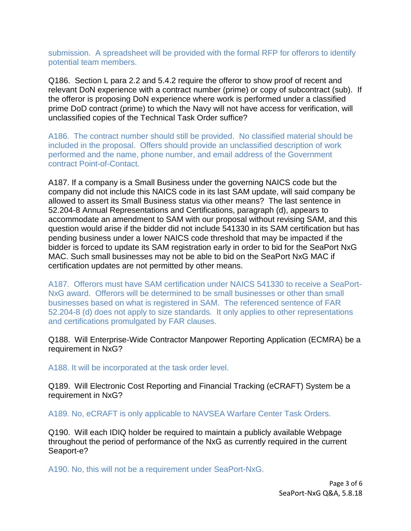submission. A spreadsheet will be provided with the formal RFP for offerors to identify potential team members.

Q186. Section L para 2.2 and 5.4.2 require the offeror to show proof of recent and relevant DoN experience with a contract number (prime) or copy of subcontract (sub). If the offeror is proposing DoN experience where work is performed under a classified prime DoD contract (prime) to which the Navy will not have access for verification, will unclassified copies of the Technical Task Order suffice?

A186. The contract number should still be provided. No classified material should be included in the proposal. Offers should provide an unclassified description of work performed and the name, phone number, and email address of the Government contract Point-of-Contact.

A187. If a company is a Small Business under the governing NAICS code but the company did not include this NAICS code in its last SAM update, will said company be allowed to assert its Small Business status via other means? The last sentence in 52.204-8 Annual Representations and Certifications, paragraph (d), appears to accommodate an amendment to SAM with our proposal without revising SAM, and this question would arise if the bidder did not include 541330 in its SAM certification but has pending business under a lower NAICS code threshold that may be impacted if the bidder is forced to update its SAM registration early in order to bid for the SeaPort NxG MAC. Such small businesses may not be able to bid on the SeaPort NxG MAC if certification updates are not permitted by other means.

A187. Offerors must have SAM certification under NAICS 541330 to receive a SeaPort-NxG award. Offerors will be determined to be small businesses or other than small businesses based on what is registered in SAM. The referenced sentence of FAR 52.204-8 (d) does not apply to size standards. It only applies to other representations and certifications promulgated by FAR clauses.

Q188. Will Enterprise-Wide Contractor Manpower Reporting Application (ECMRA) be a requirement in NxG?

A188. It will be incorporated at the task order level.

Q189. Will Electronic Cost Reporting and Financial Tracking (eCRAFT) System be a requirement in NxG?

A189. No, eCRAFT is only applicable to NAVSEA Warfare Center Task Orders.

Q190. Will each IDIQ holder be required to maintain a publicly available Webpage throughout the period of performance of the NxG as currently required in the current Seaport-e?

A190. No, this will not be a requirement under SeaPort-NxG.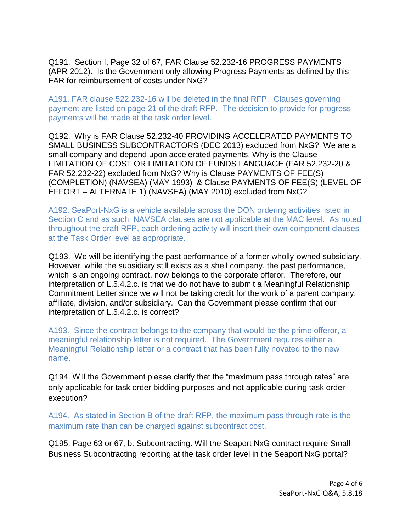Q191. Section I, Page 32 of 67, FAR Clause 52.232-16 PROGRESS PAYMENTS (APR 2012). Is the Government only allowing Progress Payments as defined by this FAR for reimbursement of costs under NxG?

A191. FAR clause 522.232-16 will be deleted in the final RFP. Clauses governing payment are listed on page 21 of the draft RFP. The decision to provide for progress payments will be made at the task order level.

Q192. Why is FAR Clause 52.232-40 PROVIDING ACCELERATED PAYMENTS TO SMALL BUSINESS SUBCONTRACTORS (DEC 2013) excluded from NxG? We are a small company and depend upon accelerated payments. Why is the Clause LIMITATION OF COST OR LIMITATION OF FUNDS LANGUAGE (FAR 52.232-20 & FAR 52.232-22) excluded from NxG? Why is Clause PAYMENTS OF FEE(S) (COMPLETION) (NAVSEA) (MAY 1993) & Clause PAYMENTS OF FEE(S) (LEVEL OF EFFORT – ALTERNATE 1) (NAVSEA) (MAY 2010) excluded from NxG?

A192. SeaPort-NxG is a vehicle available across the DON ordering activities listed in Section C and as such, NAVSEA clauses are not applicable at the MAC level. As noted throughout the draft RFP, each ordering activity will insert their own component clauses at the Task Order level as appropriate.

Q193. We will be identifying the past performance of a former wholly-owned subsidiary. However, while the subsidiary still exists as a shell company, the past performance, which is an ongoing contract, now belongs to the corporate offeror. Therefore, our interpretation of L.5.4.2.c. is that we do not have to submit a Meaningful Relationship Commitment Letter since we will not be taking credit for the work of a parent company, affiliate, division, and/or subsidiary. Can the Government please confirm that our interpretation of L.5.4.2.c. is correct?

A193. Since the contract belongs to the company that would be the prime offeror, a meaningful relationship letter is not required. The Government requires either a Meaningful Relationship letter or a contract that has been fully novated to the new name.

Q194. Will the Government please clarify that the "maximum pass through rates" are only applicable for task order bidding purposes and not applicable during task order execution?

A194. As stated in Section B of the draft RFP, the maximum pass through rate is the maximum rate than can be charged against subcontract cost.

Q195. Page 63 or 67, b. Subcontracting. Will the Seaport NxG contract require Small Business Subcontracting reporting at the task order level in the Seaport NxG portal?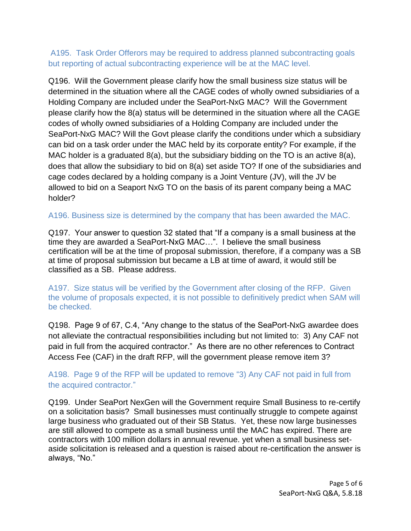# A195. Task Order Offerors may be required to address planned subcontracting goals but reporting of actual subcontracting experience will be at the MAC level.

Q196. Will the Government please clarify how the small business size status will be determined in the situation where all the CAGE codes of wholly owned subsidiaries of a Holding Company are included under the SeaPort-NxG MAC? Will the Government please clarify how the 8(a) status will be determined in the situation where all the CAGE codes of wholly owned subsidiaries of a Holding Company are included under the SeaPort-NxG MAC? Will the Govt please clarify the conditions under which a subsidiary can bid on a task order under the MAC held by its corporate entity? For example, if the MAC holder is a graduated 8(a), but the subsidiary bidding on the TO is an active 8(a), does that allow the subsidiary to bid on 8(a) set aside TO? If one of the subsidiaries and cage codes declared by a holding company is a Joint Venture (JV), will the JV be allowed to bid on a Seaport NxG TO on the basis of its parent company being a MAC holder?

# A196. Business size is determined by the company that has been awarded the MAC.

Q197. Your answer to question 32 stated that "If a company is a small business at the time they are awarded a SeaPort-NxG MAC…". I believe the small business certification will be at the time of proposal submission, therefore, if a company was a SB at time of proposal submission but became a LB at time of award, it would still be classified as a SB. Please address.

A197. Size status will be verified by the Government after closing of the RFP. Given the volume of proposals expected, it is not possible to definitively predict when SAM will be checked.

Q198. Page 9 of 67, C.4, "Any change to the status of the SeaPort-NxG awardee does not alleviate the contractual responsibilities including but not limited to: 3) Any CAF not paid in full from the acquired contractor." As there are no other references to Contract Access Fee (CAF) in the draft RFP, will the government please remove item 3?

# A198. Page 9 of the RFP will be updated to remove "3) Any CAF not paid in full from the acquired contractor."

Q199. Under SeaPort NexGen will the Government require Small Business to re-certify on a solicitation basis? Small businesses must continually struggle to compete against large business who graduated out of their SB Status. Yet, these now large businesses are still allowed to compete as a small business until the MAC has expired. There are contractors with 100 million dollars in annual revenue. yet when a small business setaside solicitation is released and a question is raised about re-certification the answer is always, "No."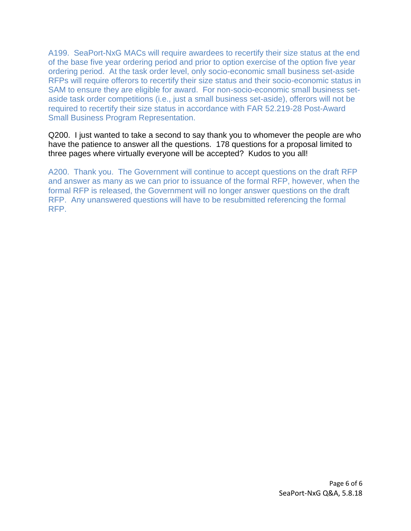A199. SeaPort-NxG MACs will require awardees to recertify their size status at the end of the base five year ordering period and prior to option exercise of the option five year ordering period. At the task order level, only socio-economic small business set-aside RFPs will require offerors to recertify their size status and their socio-economic status in SAM to ensure they are eligible for award. For non-socio-economic small business setaside task order competitions (i.e., just a small business set-aside), offerors will not be required to recertify their size status in accordance with FAR 52.219-28 Post-Award Small Business Program Representation.

Q200. I just wanted to take a second to say thank you to whomever the people are who have the patience to answer all the questions. 178 questions for a proposal limited to three pages where virtually everyone will be accepted? Kudos to you all!

A200. Thank you. The Government will continue to accept questions on the draft RFP and answer as many as we can prior to issuance of the formal RFP, however, when the formal RFP is released, the Government will no longer answer questions on the draft RFP. Any unanswered questions will have to be resubmitted referencing the formal RFP.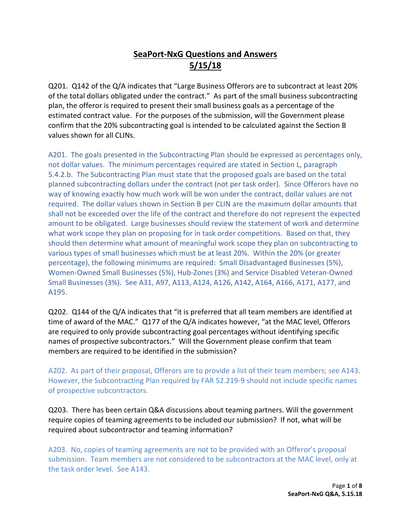# **SeaPort-NxG Questions and Answers 5/15/18**

Q201. Q142 of the Q/A indicates that "Large Business Offerors are to subcontract at least 20% of the total dollars obligated under the contract." As part of the small business subcontracting plan, the offeror is required to present their small business goals as a percentage of the estimated contract value. For the purposes of the submission, will the Government please confirm that the 20% subcontracting goal is intended to be calculated against the Section B values shown for all CLINs.

A201. The goals presented in the Subcontracting Plan should be expressed as percentages only, not dollar values. The minimum percentages required are stated in Section L, paragraph 5.4.2.b. The Subcontracting Plan must state that the proposed goals are based on the total planned subcontracting dollars under the contract (not per task order). Since Offerors have no way of knowing exactly how much work will be won under the contract, dollar values are not required. The dollar values shown in Section B per CLIN are the maximum dollar amounts that shall not be exceeded over the life of the contract and therefore do not represent the expected amount to be obligated. Large businesses should review the statement of work and determine what work scope they plan on proposing for in task order competitions. Based on that, they should then determine what amount of meaningful work scope they plan on subcontracting to various types of small businesses which must be at least 20%. Within the 20% (or greater percentage), the following minimums are required: Small Disadvantaged Businesses (5%), Women-Owned Small Businesses (5%), Hub-Zones (3%) and Service Disabled Veteran-Owned Small Businesses (3%). See A31, A97, A113, A124, A126, A142, A164, A166, A171, A177, and A195.

Q202. Q144 of the Q/A indicates that "it is preferred that all team members are identified at time of award of the MAC." Q177 of the Q/A indicates however, "at the MAC level, Offerors are required to only provide subcontracting goal percentages without identifying specific names of prospective subcontractors." Will the Government please confirm that team members are required to be identified in the submission?

A202. As part of their proposal, Offerors are to provide a list of their team members; see A143. However, the Subcontracting Plan required by FAR 52.219-9 should not include specific names of prospective subcontractors.

Q203. There has been certain Q&A discussions about teaming partners. Will the government require copies of teaming agreements to be included our submission? If not, what will be required about subcontractor and teaming information?

A203. No, copies of teaming agreements are not to be provided with an Offeror's proposal submission. Team members are not considered to be subcontractors at the MAC level, only at the task order level. See A143.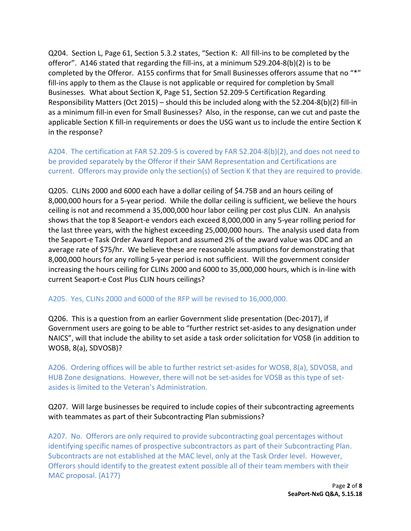Q204. Section L, Page 61, Section 5.3.2 states, "Section K: All fill-ins to be completed by the offeror". A146 stated that regarding the fill-ins, at a minimum 529.204-8(b)(2) is to be completed by the Offeror. A155 confirms that for Small Businesses offerors assume that no "\*" fill-ins apply to them as the Clause is not applicable or required for completion by Small Businesses. What about Section K, Page 51, Section 52.209-5 Certification Regarding Responsibility Matters (Oct 2015) – should this be included along with the 52.204-8(b)(2) fill-in as a minimum fill-in even for Small Businesses? Also, in the response, can we cut and paste the applicable Section K fill-in requirements or does the USG want us to include the entire Section K in the response?

A204. The certification at FAR 52.209-5 is covered by FAR 52.204-8(b)(2), and does not need to be provided separately by the Offeror if their SAM Representation and Certifications are current. Offerors may provide only the section(s) of Section K that they are required to provide.

Q205. CLINs 2000 and 6000 each have a dollar ceiling of \$4.75B and an hours ceiling of 8,000,000 hours for a 5-year period. While the dollar ceiling is sufficient, we believe the hours ceiling is not and recommend a 35,000,000 hour labor ceiling per cost plus CLIN. An analysis shows that the top 8 Seaport-e vendors each exceed 8,000,000 in any 5-year rolling period for the last three years, with the highest exceeding 25,000,000 hours. The analysis used data from the Seaport-e Task Order Award Report and assumed 2% of the award value was ODC and an average rate of \$75/hr. We believe these are reasonable assumptions for demonstrating that 8,000,000 hours for any rolling 5-year period is not sufficient. Will the government consider increasing the hours ceiling for CLINs 2000 and 6000 to 35,000,000 hours, which is in-line with current Seaport-e Cost Plus CLIN hours ceilings?

## A205. Yes, CLINs 2000 and 6000 of the RFP will be revised to 16,000,000.

Q206. This is a question from an earlier Government slide presentation (Dec-2017), if Government users are going to be able to "further restrict set-asides to any designation under NAICS", will that include the ability to set aside a task order solicitation for VOSB (in addition to WOSB, 8(a), SDVOSB)?

A206. Ordering offices will be able to further restrict set-asides for WOSB, 8(a), SDVOSB, and HUB Zone designations. However, there will not be set-asides for VOSB as this type of setasides is limited to the Veteran's Administration.

## Q207. Will large businesses be required to include copies of their subcontracting agreements with teammates as part of their Subcontracting Plan submissions?

A207. No. Offerors are only required to provide subcontracting goal percentages without identifying specific names of prospective subcontractors as part of their Subcontracting Plan. Subcontracts are not established at the MAC level, only at the Task Order level. However, Offerors should identify to the greatest extent possible all of their team members with their MAC proposal. (A177)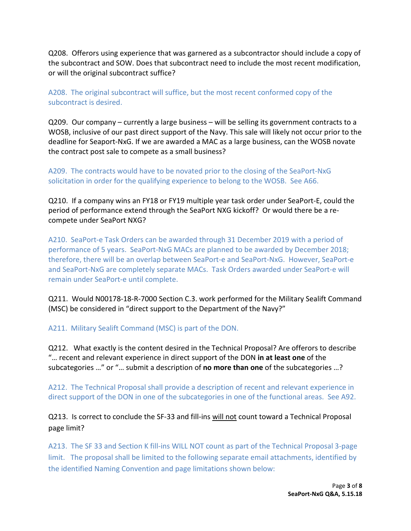Q208. Offerors using experience that was garnered as a subcontractor should include a copy of the subcontract and SOW. Does that subcontract need to include the most recent modification, or will the original subcontract suffice?

A208. The original subcontract will suffice, but the most recent conformed copy of the subcontract is desired.

Q209. Our company – currently a large business – will be selling its government contracts to a WOSB, inclusive of our past direct support of the Navy. This sale will likely not occur prior to the deadline for Seaport-NxG. If we are awarded a MAC as a large business, can the WOSB novate the contract post sale to compete as a small business?

A209. The contracts would have to be novated prior to the closing of the SeaPort-NxG solicitation in order for the qualifying experience to belong to the WOSB. See A66.

Q210. If a company wins an FY18 or FY19 multiple year task order under SeaPort-E, could the period of performance extend through the SeaPort NXG kickoff? Or would there be a recompete under SeaPort NXG?

A210. SeaPort-e Task Orders can be awarded through 31 December 2019 with a period of performance of 5 years. SeaPort-NxG MACs are planned to be awarded by December 2018; therefore, there will be an overlap between SeaPort-e and SeaPort-NxG. However, SeaPort-e and SeaPort-NxG are completely separate MACs. Task Orders awarded under SeaPort-e will remain under SeaPort-e until complete.

Q211. Would N00178-18-R-7000 Section C.3. work performed for the Military Sealift Command (MSC) be considered in "direct support to the Department of the Navy?"

A211. Military Sealift Command (MSC) is part of the DON.

Q212. What exactly is the content desired in the Technical Proposal? Are offerors to describe "… recent and relevant experience in direct support of the DON **in at least one** of the subcategories …" or "… submit a description of **no more than one** of the subcategories …?

A212. The Technical Proposal shall provide a description of recent and relevant experience in direct support of the DON in one of the subcategories in one of the functional areas. See A92.

Q213. Is correct to conclude the SF-33 and fill-ins will not count toward a Technical Proposal page limit?

A213. The SF 33 and Section K fill-ins WILL NOT count as part of the Technical Proposal 3-page limit. The proposal shall be limited to the following separate email attachments, identified by the identified Naming Convention and page limitations shown below: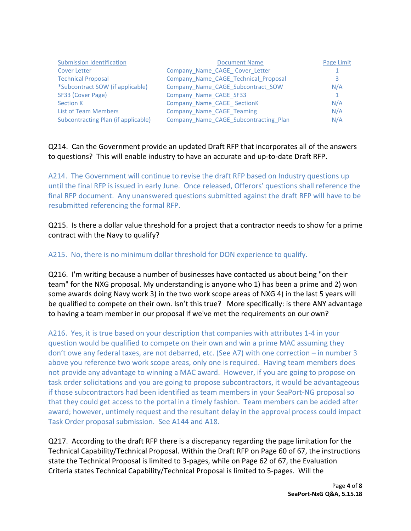| <b>Submission Identification</b>    | <b>Document Name</b>                  | Page Limit |
|-------------------------------------|---------------------------------------|------------|
| Cover Letter                        | Company Name CAGE Cover Letter        |            |
| <b>Technical Proposal</b>           | Company Name CAGE Technical Proposal  |            |
| *Subcontract SOW (if applicable)    | Company Name CAGE Subcontract SOW     | N/A        |
| SF33 (Cover Page)                   | Company Name CAGE SF33                |            |
| <b>Section K</b>                    | Company Name CAGE SectionK            | N/A        |
| <b>List of Team Members</b>         | Company Name CAGE Teaming             | N/A        |
| Subcontracting Plan (if applicable) | Company Name CAGE Subcontracting Plan | N/A        |

#### Q214. Can the Government provide an updated Draft RFP that incorporates all of the answers to questions? This will enable industry to have an accurate and up-to-date Draft RFP.

A214. The Government will continue to revise the draft RFP based on Industry questions up until the final RFP is issued in early June. Once released, Offerors' questions shall reference the final RFP document. Any unanswered questions submitted against the draft RFP will have to be resubmitted referencing the formal RFP.

Q215. Is there a dollar value threshold for a project that a contractor needs to show for a prime contract with the Navy to qualify?

## A215. No, there is no minimum dollar threshold for DON experience to qualify.

Q216. I'm writing because a number of businesses have contacted us about being "on their team" for the NXG proposal. My understanding is anyone who 1) has been a prime and 2) won some awards doing Navy work 3) in the two work scope areas of NXG 4) in the last 5 years will be qualified to compete on their own. Isn't this true? More specifically: is there ANY advantage to having a team member in our proposal if we've met the requirements on our own?

A216. Yes, it is true based on your description that companies with attributes 1-4 in your question would be qualified to compete on their own and win a prime MAC assuming they don't owe any federal taxes, are not debarred, etc. (See A7) with one correction – in number 3 above you reference two work scope areas, only one is required. Having team members does not provide any advantage to winning a MAC award. However, if you are going to propose on task order solicitations and you are going to propose subcontractors, it would be advantageous if those subcontractors had been identified as team members in your SeaPort-NG proposal so that they could get access to the portal in a timely fashion. Team members can be added after award; however, untimely request and the resultant delay in the approval process could impact Task Order proposal submission. See A144 and A18.

Q217. According to the draft RFP there is a discrepancy regarding the page limitation for the Technical Capability/Technical Proposal. Within the Draft RFP on Page 60 of 67, the instructions state the Technical Proposal is limited to 3-pages, while on Page 62 of 67, the Evaluation Criteria states Technical Capability/Technical Proposal is limited to 5-pages. Will the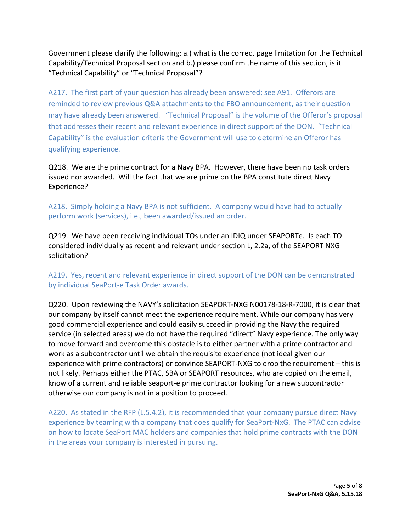Government please clarify the following: a.) what is the correct page limitation for the Technical Capability/Technical Proposal section and b.) please confirm the name of this section, is it "Technical Capability" or "Technical Proposal"?

A217. The first part of your question has already been answered; see A91. Offerors are reminded to review previous Q&A attachments to the FBO announcement, as their question may have already been answered. "Technical Proposal" is the volume of the Offeror's proposal that addresses their recent and relevant experience in direct support of the DON. "Technical Capability" is the evaluation criteria the Government will use to determine an Offeror has qualifying experience.

Q218. We are the prime contract for a Navy BPA. However, there have been no task orders issued nor awarded. Will the fact that we are prime on the BPA constitute direct Navy Experience?

A218. Simply holding a Navy BPA is not sufficient. A company would have had to actually perform work (services), i.e., been awarded/issued an order.

Q219. We have been receiving individual TOs under an IDIQ under SEAPORTe. Is each TO considered individually as recent and relevant under section L, 2.2a, of the SEAPORT NXG solicitation?

A219. Yes, recent and relevant experience in direct support of the DON can be demonstrated by individual SeaPort-e Task Order awards.

Q220. Upon reviewing the NAVY's solicitation SEAPORT-NXG N00178-18-R-7000, it is clear that our company by itself cannot meet the experience requirement. While our company has very good commercial experience and could easily succeed in providing the Navy the required service (in selected areas) we do not have the required "direct" Navy experience. The only way to move forward and overcome this obstacle is to either partner with a prime contractor and work as a subcontractor until we obtain the requisite experience (not ideal given our experience with prime contractors) or convince SEAPORT-NXG to drop the requirement – this is not likely. Perhaps either the PTAC, SBA or SEAPORT resources, who are copied on the email, know of a current and reliable seaport-e prime contractor looking for a new subcontractor otherwise our company is not in a position to proceed.

A220. As stated in the RFP (L.5.4.2), it is recommended that your company pursue direct Navy experience by teaming with a company that does qualify for SeaPort-NxG. The PTAC can advise on how to locate SeaPort MAC holders and companies that hold prime contracts with the DON in the areas your company is interested in pursuing.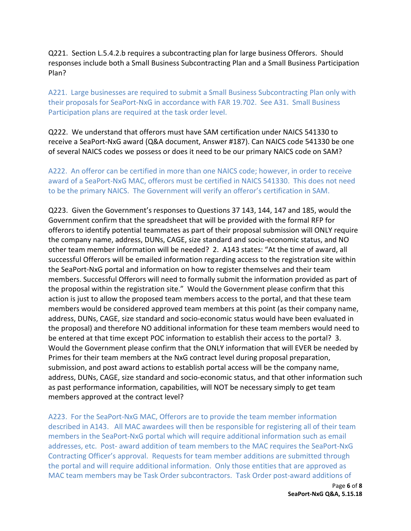Q221. Section L.5.4.2.b requires a subcontracting plan for large business Offerors. Should responses include both a Small Business Subcontracting Plan and a Small Business Participation Plan?

A221. Large businesses are required to submit a Small Business Subcontracting Plan only with their proposals for SeaPort-NxG in accordance with FAR 19.702. See A31. Small Business Participation plans are required at the task order level.

Q222. We understand that offerors must have SAM certification under NAICS 541330 to receive a SeaPort-NxG award (Q&A document, Answer #187). Can NAICS code 541330 be one of several NAICS codes we possess or does it need to be our primary NAICS code on SAM?

A222. An offeror can be certified in more than one NAICS code; however, in order to receive award of a SeaPort-NxG MAC, offerors must be certified in NAICS 541330. This does not need to be the primary NAICS. The Government will verify an offeror's certification in SAM.

Q223. Given the Government's responses to Questions 37 143, 144, 147 and 185, would the Government confirm that the spreadsheet that will be provided with the formal RFP for offerors to identify potential teammates as part of their proposal submission will ONLY require the company name, address, DUNs, CAGE, size standard and socio-economic status, and NO other team member information will be needed? 2. A143 states: "At the time of award, all successful Offerors will be emailed information regarding access to the registration site within the SeaPort-NxG portal and information on how to register themselves and their team members. Successful Offerors will need to formally submit the information provided as part of the proposal within the registration site." Would the Government please confirm that this action is just to allow the proposed team members access to the portal, and that these team members would be considered approved team members at this point (as their company name, address, DUNs, CAGE, size standard and socio-economic status would have been evaluated in the proposal) and therefore NO additional information for these team members would need to be entered at that time except POC information to establish their access to the portal? 3. Would the Government please confirm that the ONLY information that will EVER be needed by Primes for their team members at the NxG contract level during proposal preparation, submission, and post award actions to establish portal access will be the company name, address, DUNs, CAGE, size standard and socio-economic status, and that other information such as past performance information, capabilities, will NOT be necessary simply to get team members approved at the contract level?

A223. For the SeaPort-NxG MAC, Offerors are to provide the team member information described in A143. All MAC awardees will then be responsible for registering all of their team members in the SeaPort-NxG portal which will require additional information such as email addresses, etc. Post- award addition of team members to the MAC requires the SeaPort-NxG Contracting Officer's approval. Requests for team member additions are submitted through the portal and will require additional information. Only those entities that are approved as MAC team members may be Task Order subcontractors. Task Order post-award additions of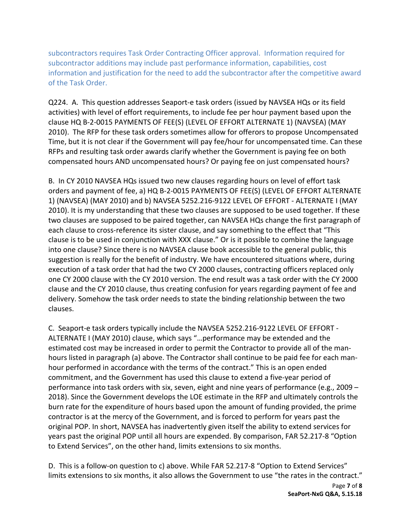subcontractors requires Task Order Contracting Officer approval. Information required for subcontractor additions may include past performance information, capabilities, cost information and justification for the need to add the subcontractor after the competitive award of the Task Order.

Q224. A. This question addresses Seaport-e task orders (issued by NAVSEA HQs or its field activities) with level of effort requirements, to include fee per hour payment based upon the clause HQ B-2-0015 PAYMENTS OF FEE(S) (LEVEL OF EFFORT ALTERNATE 1) (NAVSEA) (MAY 2010). The RFP for these task orders sometimes allow for offerors to propose Uncompensated Time, but it is not clear if the Government will pay fee/hour for uncompensated time. Can these RFPs and resulting task order awards clarify whether the Government is paying fee on both compensated hours AND uncompensated hours? Or paying fee on just compensated hours?

B. In CY 2010 NAVSEA HQs issued two new clauses regarding hours on level of effort task orders and payment of fee, a) HQ B-2-0015 PAYMENTS OF FEE(S) (LEVEL OF EFFORT ALTERNATE 1) (NAVSEA) (MAY 2010) and b) NAVSEA 5252.216-9122 LEVEL OF EFFORT - ALTERNATE I (MAY 2010). It is my understanding that these two clauses are supposed to be used together. If these two clauses are supposed to be paired together, can NAVSEA HQs change the first paragraph of each clause to cross-reference its sister clause, and say something to the effect that "This clause is to be used in conjunction with XXX clause." Or is it possible to combine the language into one clause? Since there is no NAVSEA clause book accessible to the general public, this suggestion is really for the benefit of industry. We have encountered situations where, during execution of a task order that had the two CY 2000 clauses, contracting officers replaced only one CY 2000 clause with the CY 2010 version. The end result was a task order with the CY 2000 clause and the CY 2010 clause, thus creating confusion for years regarding payment of fee and delivery. Somehow the task order needs to state the binding relationship between the two clauses.

C. Seaport-e task orders typically include the NAVSEA 5252.216-9122 LEVEL OF EFFORT - ALTERNATE I (MAY 2010) clause, which says "…performance may be extended and the estimated cost may be increased in order to permit the Contractor to provide all of the manhours listed in paragraph (a) above. The Contractor shall continue to be paid fee for each manhour performed in accordance with the terms of the contract." This is an open ended commitment, and the Government has used this clause to extend a five-year period of performance into task orders with six, seven, eight and nine years of performance (e.g., 2009 – 2018). Since the Government develops the LOE estimate in the RFP and ultimately controls the burn rate for the expenditure of hours based upon the amount of funding provided, the prime contractor is at the mercy of the Government, and is forced to perform for years past the original POP. In short, NAVSEA has inadvertently given itself the ability to extend services for years past the original POP until all hours are expended. By comparison, FAR 52.217-8 "Option to Extend Services", on the other hand, limits extensions to six months.

D. This is a follow-on question to c) above. While FAR 52.217-8 "Option to Extend Services" limits extensions to six months, it also allows the Government to use "the rates in the contract."